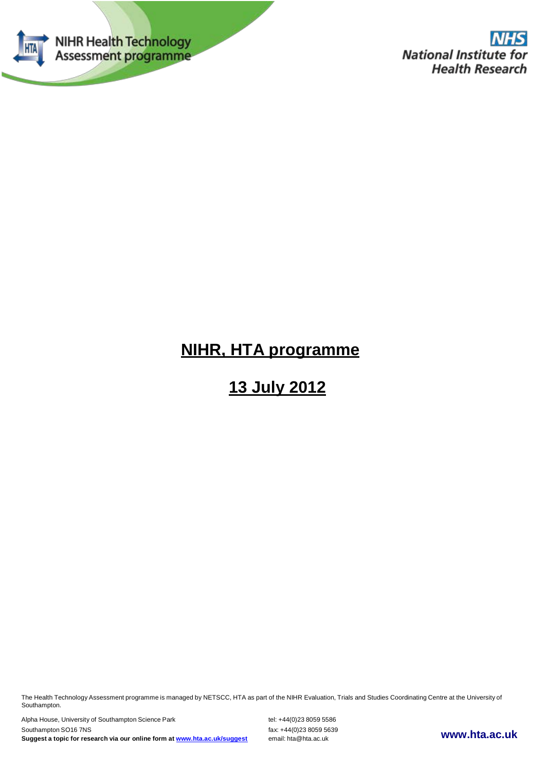

# **NIHR, HTA programme**

# **13 July 2012**

The Health Technology Assessment programme is managed by NETSCC, HTA as part of the NIHR Evaluation, Trials and Studies Coordinating Centre at the University of Southampton.

Alpha House, University of Southampton Science Park tel: +44(0)23 8059 5586 Southampton SO16 7NS<br> **Suggest a topic for research via our online form at www.hta.ac.uk/suggest** email: hta@hta.ac.uk **Suggest <sup>a</sup> topic for research via our online form at [www.hta.ac.uk/suggest](http://www.hta.ac.uk/suggest)** email: [hta@hta.ac.uk](mailto:hta@hta.ac.uk) **[www.hta.ac.uk](http://www.hta.ac.uk/)**

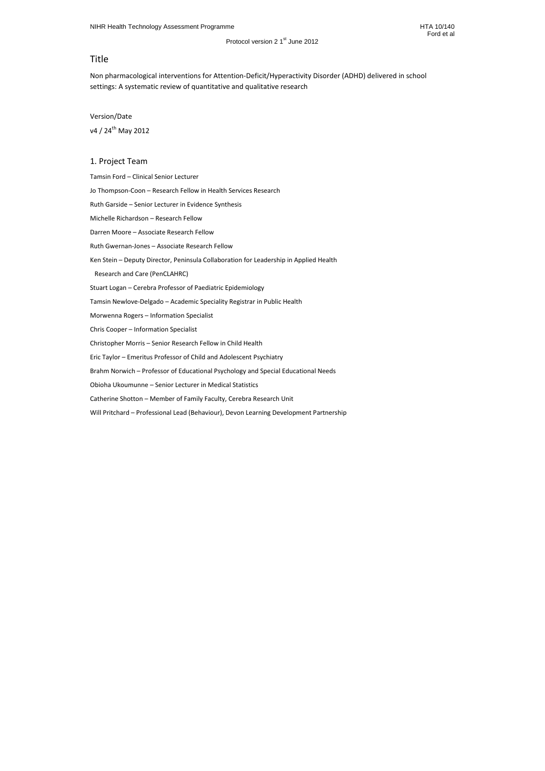# Title

Non pharmacological interventions for Attention-Deficit/Hyperactivity Disorder (ADHD) delivered in school settings: A systematic review of quantitative and qualitative research

## Version/Date

v4 / 24<sup>th</sup> May 2012

# 1. Project Team

Tamsin Ford – Clinical Senior Lecturer

Jo Thompson-Coon – Research Fellow in Health Services Research

Ruth Garside – Senior Lecturer in Evidence Synthesis

Michelle Richardson – Research Fellow

Darren Moore – Associate Research Fellow

Ruth Gwernan-Jones – Associate Research Fellow

Ken Stein – Deputy Director, Peninsula Collaboration for Leadership in Applied Health

Research and Care (PenCLAHRC)

Stuart Logan – Cerebra Professor of Paediatric Epidemiology

Tamsin Newlove-Delgado – Academic Speciality Registrar in Public Health

Morwenna Rogers – Information Specialist

Chris Cooper – Information Specialist

Christopher Morris – Senior Research Fellow in Child Health

Eric Taylor – Emeritus Professor of Child and Adolescent Psychiatry

Brahm Norwich – Professor of Educational Psychology and Special Educational Needs

Obioha Ukoumunne – Senior Lecturer in Medical Statistics

Catherine Shotton – Member of Family Faculty, Cerebra Research Unit

Will Pritchard – Professional Lead (Behaviour), Devon Learning Development Partnership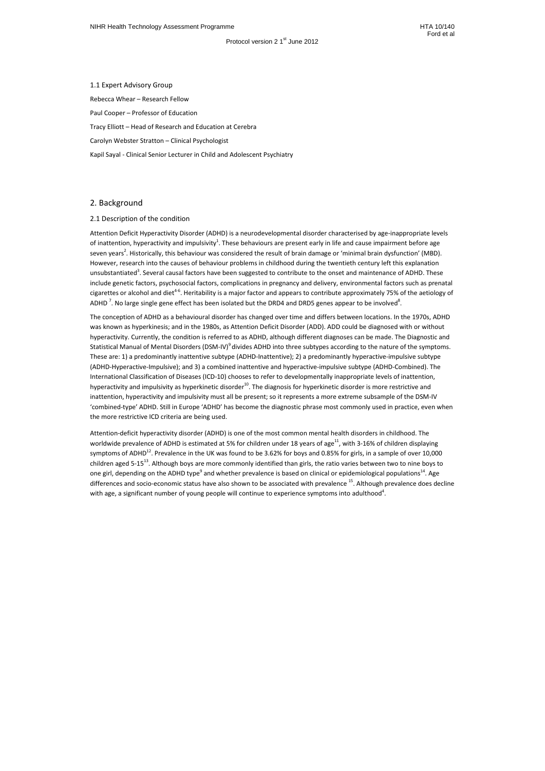Attention Deficit Hyperactivity Disorder (ADHD) is a neurodevelopmental disorder characterised by age-inappropriate levels of inattention, hyperactivity and impulsivity<sup>1</sup>. These behaviours are present early in life and cause impairment before age seven years<sup>2</sup>. Historically, this behaviour was considered the result of brain damage or 'minimal brain dysfunction' (MBD). However, research into the causes of behaviour problems in childhood during the twentieth century left this explanation unsubstantiated<sup>3</sup>. Several causal factors have been suggested to contribute to the onset and maintenance of ADHD. These include genetic factors, psychosocial factors, complications in pregnancy and delivery, environmental factors such as prenatal cigarettes or alcohol and diet4-6. Heritability is a major factor and appears to contribute approximately 75% of the aetiology of ADHD<sup>7</sup>. No large single gene effect has been isolated but the DRD4 and DRD5 genes appear to be involved<sup>8</sup>.

1.1 Expert Advisory Group Rebecca Whear – Research Fellow Paul Cooper – Professor of Education Tracy Elliott – Head of Research and Education at Cerebra Carolyn Webster Stratton – Clinical Psychologist Kapil Sayal - Clinical Senior Lecturer in Child and Adolescent Psychiatry

## 2. Background

## 2.1 Description of the condition

Attention-deficit hyperactivity disorder (ADHD) is one of the most common mental health disorders in childhood. The worldwide prevalence of ADHD is estimated at 5% for children under 18 years of age<sup>11</sup>, with 3-16% of children displaying symptoms of ADHD<sup>12</sup>. Prevalence in the UK was found to be 3.62% for boys and 0.85% for girls, in a sample of over 10,000 children aged 5-15<sup>13</sup>. Although boys are more commonly identified than girls, the ratio varies between two to nine boys to one girl, depending on the ADHD type<sup>9</sup> and whether prevalence is based on clinical or epidemiological populations<sup>14</sup>. Age differences and socio-economic status have also shown to be associated with prevalence <sup>15</sup>. Although prevalence does decline with age, a significant number of young people will continue to experience symptoms into adulthood<sup>4</sup>.

The conception of ADHD as a behavioural disorder has changed over time and differs between locations. In the 1970s, ADHD was known as hyperkinesis; and in the 1980s, as Attention Deficit Disorder (ADD). ADD could be diagnosed with or without hyperactivity. Currently, the condition is referred to as ADHD, although different diagnoses can be made. The Diagnostic and Statistical Manual of Mental Disorders (DSM-IV)<sup>9</sup> divides ADHD into three subtypes according to the nature of the symptoms. These are: 1) a predominantly inattentive subtype (ADHD-Inattentive); 2) a predominantly hyperactive-impulsive subtype (ADHD-Hyperactive-Impulsive); and 3) a combined inattentive and hyperactive-impulsive subtype (ADHD-Combined). The International Classification of Diseases (ICD-10) chooses to refer to developmentally inappropriate levels of inattention, hyperactivity and impulsivity as hyperkinetic disorder $10$ . The diagnosis for hyperkinetic disorder is more restrictive and inattention, hyperactivity and impulsivity must all be present; so it represents a more extreme subsample of the DSM-IV 'combined-type' ADHD. Still in Europe 'ADHD' has become the diagnostic phrase most commonly used in practice, even when the more restrictive ICD criteria are being used.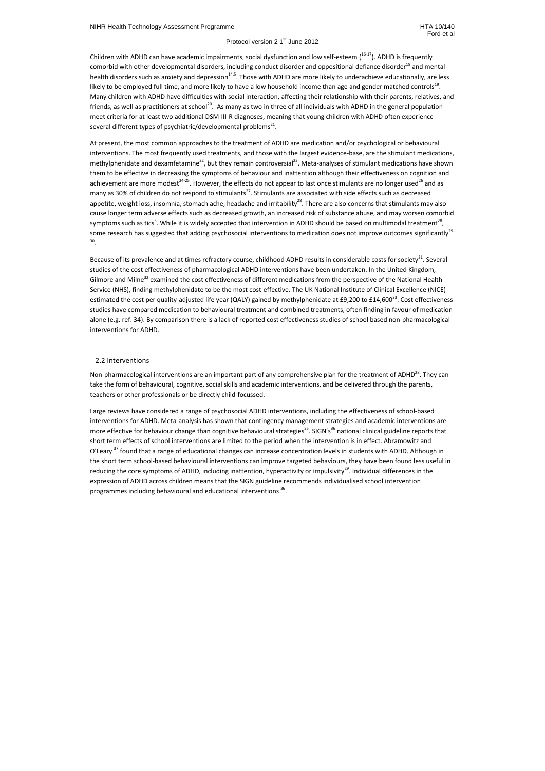Children with ADHD can have academic impairments, social dysfunction and low self-esteem  $(16-17)$ . ADHD is frequently comorbid with other developmental disorders, including conduct disorder and oppositional defiance disorder<sup>18</sup> and mental health disorders such as anxiety and depression $14,5$ . Those with ADHD are more likely to underachieve educationally, are less likely to be employed full time, and more likely to have a low household income than age and gender matched controls<sup>19</sup>. Many children with ADHD have difficulties with social interaction, affecting their relationship with their parents, relatives, and friends, as well as practitioners at school<sup>20</sup>. As many as two in three of all individuals with ADHD in the general population meet criteria for at least two additional DSM-III-R diagnoses, meaning that young children with ADHD often experience several different types of psychiatric/developmental problems<sup>21</sup>.

Because of its prevalence and at times refractory course, childhood ADHD results in considerable costs for society<sup>31</sup>. Several studies of the cost effectiveness of pharmacological ADHD interventions have been undertaken. In the United Kingdom, Gilmore and Milne<sup>32</sup> examined the cost effectiveness of different medications from the perspective of the National Health Service (NHS), finding methylphenidate to be the most cost-effective. The UK National Institute of Clinical Excellence (NICE) estimated the cost per quality-adjusted life year (QALY) gained by methylphenidate at £9,200 to £14,600<sup>33</sup>. Cost effectiveness studies have compared medication to behavioural treatment and combined treatments, often finding in favour of medication alone (e.g. ref. 34). By comparison there is a lack of reported cost effectiveness studies of school based non-pharmacological interventions for ADHD.

At present, the most common approaches to the treatment of ADHD are medication and/or psychological or behavioural interventions. The most frequently used treatments, and those with the largest evidence-base, are the stimulant medications, methylphenidate and dexamfetamine<sup>22</sup>, but they remain controversial<sup>23</sup>. Meta-analyses of stimulant medications have shown them to be effective in decreasing the symptoms of behaviour and inattention although their effectiveness on cognition and achievement are more modest<sup>24-25</sup>. However, the effects do not appear to last once stimulants are no longer used<sup>26</sup> and as many as 30% of children do not respond to stimulants<sup>27</sup>. Stimulants are associated with side effects such as decreased appetite, weight loss, insomnia, stomach ache, headache and irritability<sup>28</sup>. There are also concerns that stimulants may also cause longer term adverse effects such as decreased growth, an increased risk of substance abuse, and may worsen comorbid symptoms such as tics<sup>5</sup>. While it is widely accepted that intervention in ADHD should be based on multimodal treatment<sup>28</sup>, some research has suggested that adding psychosocial interventions to medication does not improve outcomes significantly<sup>29-</sup> 30 .

Non-pharmacological interventions are an important part of any comprehensive plan for the treatment of ADHD<sup>28</sup>. They can take the form of behavioural, cognitive, social skills and academic interventions, and be delivered through the parents, teachers or other professionals or be directly child-focussed.

Large reviews have considered a range of psychosocial ADHD interventions, including the effectiveness of school-based interventions for ADHD. Meta-analysis has shown that contingency management strategies and academic interventions are more effective for behaviour change than cognitive behavioural strategies<sup>35</sup>. SIGN's<sup>36</sup> national clinical guideline reports that short term effects of school interventions are limited to the period when the intervention is in effect. Abramowitz and O'Leary<sup>37</sup> found that a range of educational changes can increase concentration levels in students with ADHD. Although in the short term school-based behavioural interventions can improve targeted behaviours, they have been found less useful in reducing the core symptoms of ADHD, including inattention, hyperactivity or impulsivity<sup>29</sup>. Individual differences in the expression of ADHD across children means that the SIGN guideline recommends individualised school intervention programmes including behavioural and educational interventions <sup>36</sup>.

## 2.2 Interventions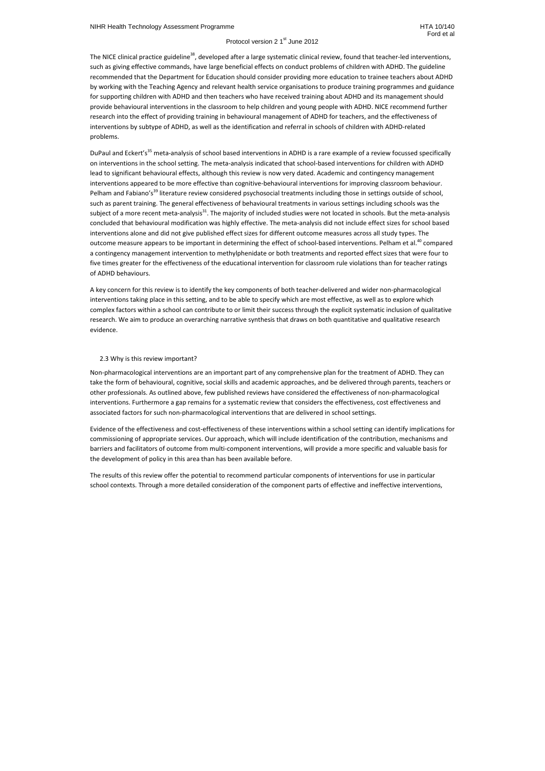The NICE clinical practice guideline<sup>38</sup>, developed after a large systematic clinical review, found that teacher-led interventions, such as giving effective commands, have large beneficial effects on conduct problems of children with ADHD. The guideline recommended that the Department for Education should consider providing more education to trainee teachers about ADHD by working with the Teaching Agency and relevant health service organisations to produce training programmes and guidance for supporting children with ADHD and then teachers who have received training about ADHD and its management should provide behavioural interventions in the classroom to help children and young people with ADHD. NICE recommend further research into the effect of providing training in behavioural management of ADHD for teachers, and the effectiveness of interventions by subtype of ADHD, as well as the identification and referral in schools of children with ADHD-related problems.

DuPaul and Eckert's<sup>35</sup> meta-analysis of school based interventions in ADHD is a rare example of a review focussed specifically on interventions in the school setting. The meta-analysis indicated that school-based interventions for children with ADHD lead to significant behavioural effects, although this review is now very dated. Academic and contingency management interventions appeared to be more effective than cognitive-behavioural interventions for improving classroom behaviour. Pelham and Fabiano's<sup>39</sup> literature review considered psychosocial treatments including those in settings outside of school, such as parent training. The general effectiveness of behavioural treatments in various settings including schools was the subject of a more recent meta-analysis<sup>31</sup>. The majority of included studies were not located in schools. But the meta-analysis concluded that behavioural modification was highly effective. The meta-analysis did not include effect sizes for school based interventions alone and did not give published effect sizes for different outcome measures across all study types. The outcome measure appears to be important in determining the effect of school-based interventions. Pelham et al.<sup>40</sup> compared a contingency management intervention to methylphenidate or both treatments and reported effect sizes that were four to five times greater for the effectiveness of the educational intervention for classroom rule violations than for teacher ratings of ADHD behaviours.

A key concern for this review is to identify the key components of both teacher-delivered and wider non-pharmacological interventions taking place in this setting, and to be able to specify which are most effective, as well as to explore which complex factors within a school can contribute to or limit their success through the explicit systematic inclusion of qualitative research. We aim to produce an overarching narrative synthesis that draws on both quantitative and qualitative research evidence.

## 2.3 Why is this review important?

Non-pharmacological interventions are an important part of any comprehensive plan for the treatment of ADHD. They can take the form of behavioural, cognitive, social skills and academic approaches, and be delivered through parents, teachers or other professionals. As outlined above, few published reviews have considered the effectiveness of non-pharmacological interventions. Furthermore a gap remains for a systematic review that considers the effectiveness, cost effectiveness and associated factors for such non-pharmacological interventions that are delivered in school settings.

Evidence of the effectiveness and cost-effectiveness of these interventions within a school setting can identify implications for commissioning of appropriate services. Our approach, which will include identification of the contribution, mechanisms and barriers and facilitators of outcome from multi-component interventions, will provide a more specific and valuable basis for the development of policy in this area than has been available before.

The results of this review offer the potential to recommend particular components of interventions for use in particular school contexts. Through a more detailed consideration of the component parts of effective and ineffective interventions,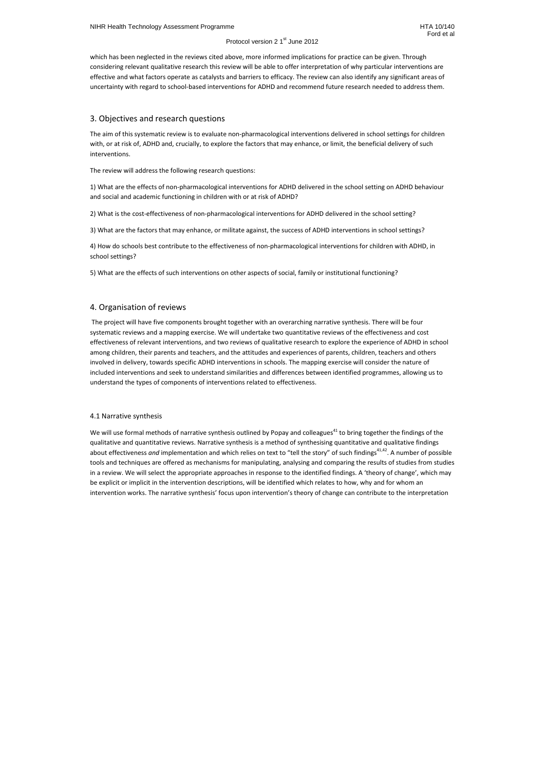which has been neglected in the reviews cited above, more informed implications for practice can be given. Through considering relevant qualitative research this review will be able to offer interpretation of why particular interventions are effective and what factors operate as catalysts and barriers to efficacy. The review can also identify any significant areas of uncertainty with regard to school-based interventions for ADHD and recommend future research needed to address them.

# 3. Objectives and research questions

The aim of this systematic review is to evaluate non-pharmacological interventions delivered in school settings for children with, or at risk of, ADHD and, crucially, to explore the factors that may enhance, or limit, the beneficial delivery of such interventions.

The review will address the following research questions:

1) What are the effects of non-pharmacological interventions for ADHD delivered in the school setting on ADHD behaviour and social and academic functioning in children with or at risk of ADHD?

2) What is the cost-effectiveness of non-pharmacological interventions for ADHD delivered in the school setting?

3) What are the factors that may enhance, or militate against, the success of ADHD interventions in school settings?

4) How do schools best contribute to the effectiveness of non-pharmacological interventions for children with ADHD, in school settings?

5) What are the effects of such interventions on other aspects of social, family or institutional functioning?

# 4. Organisation of reviews

We will use formal methods of narrative synthesis outlined by Popay and colleagues<sup>41</sup> to bring together the findings of the qualitative and quantitative reviews. Narrative synthesis is a method of synthesising quantitative and qualitative findings about effectiveness *and* implementation and which relies on text to "tell the story" of such findings<sup>41,42</sup>. A number of possible tools and techniques are offered as mechanisms for manipulating, analysing and comparing the results of studies from studies in a review. We will select the appropriate approaches in response to the identified findings. A 'theory of change', which may be explicit or implicit in the intervention descriptions, will be identified which relates to how, why and for whom an intervention works. The narrative synthesis' focus upon intervention's theory of change can contribute to the interpretation

 The project will have five components brought together with an overarching narrative synthesis. There will be four systematic reviews and a mapping exercise. We will undertake two quantitative reviews of the effectiveness and cost effectiveness of relevant interventions, and two reviews of qualitative research to explore the experience of ADHD in school among children, their parents and teachers, and the attitudes and experiences of parents, children, teachers and others involved in delivery, towards specific ADHD interventions in schools. The mapping exercise will consider the nature of included interventions and seek to understand similarities and differences between identified programmes, allowing us to understand the types of components of interventions related to effectiveness.

## 4.1 Narrative synthesis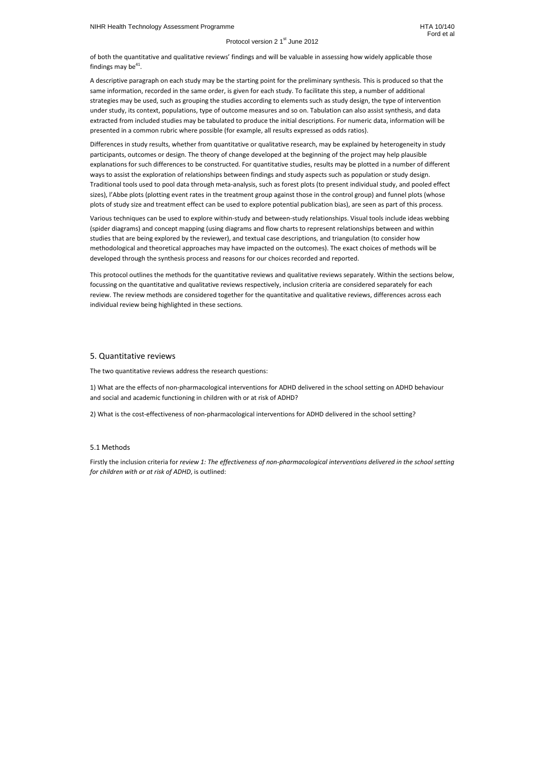of both the quantitative and qualitative reviews' findings and will be valuable in assessing how widely applicable those findings may be $^{41}$ .

## Protocol version 2 1<sup>st</sup> June 2012

A descriptive paragraph on each study may be the starting point for the preliminary synthesis. This is produced so that the same information, recorded in the same order, is given for each study. To facilitate this step, a number of additional strategies may be used, such as grouping the studies according to elements such as study design, the type of intervention under study, its context, populations, type of outcome measures and so on. Tabulation can also assist synthesis, and data extracted from included studies may be tabulated to produce the initial descriptions. For numeric data, information will be presented in a common rubric where possible (for example, all results expressed as odds ratios).

Differences in study results, whether from quantitative or qualitative research, may be explained by heterogeneity in study participants, outcomes or design. The theory of change developed at the beginning of the project may help plausible explanations for such differences to be constructed. For quantitative studies, results may be plotted in a number of different ways to assist the exploration of relationships between findings and study aspects such as population or study design. Traditional tools used to pool data through meta-analysis, such as forest plots (to present individual study, and pooled effect sizes), l'Abbe plots (plotting event rates in the treatment group against those in the control group) and funnel plots (whose plots of study size and treatment effect can be used to explore potential publication bias), are seen as part of this process.

Various techniques can be used to explore within-study and between-study relationships. Visual tools include ideas webbing (spider diagrams) and concept mapping (using diagrams and flow charts to represent relationships between and within studies that are being explored by the reviewer), and textual case descriptions, and triangulation (to consider how methodological and theoretical approaches may have impacted on the outcomes). The exact choices of methods will be developed through the synthesis process and reasons for our choices recorded and reported.

This protocol outlines the methods for the quantitative reviews and qualitative reviews separately. Within the sections below, focussing on the quantitative and qualitative reviews respectively, inclusion criteria are considered separately for each review. The review methods are considered together for the quantitative and qualitative reviews, differences across each individual review being highlighted in these sections.

## 5. Quantitative reviews

The two quantitative reviews address the research questions:

1) What are the effects of non-pharmacological interventions for ADHD delivered in the school setting on ADHD behaviour and social and academic functioning in children with or at risk of ADHD?

2) What is the cost-effectiveness of non-pharmacological interventions for ADHD delivered in the school setting?

## 5.1 Methods

Firstly the inclusion criteria for *review 1: The effectiveness of non-pharmacological interventions delivered in the school setting for children with or at risk of ADHD*, is outlined: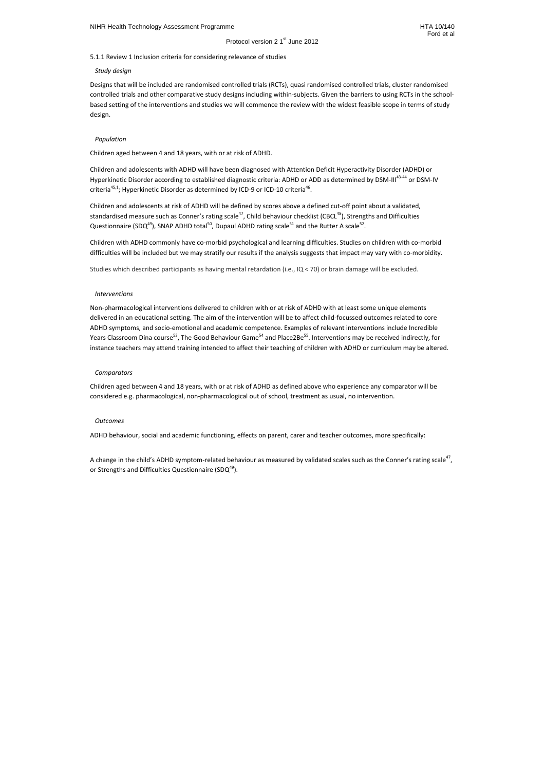5.1.1 Review 1 Inclusion criteria for considering relevance of studies

#### *Study design*

Children and adolescents with ADHD will have been diagnosed with Attention Deficit Hyperactivity Disorder (ADHD) or Hyperkinetic Disorder according to established diagnostic criteria: ADHD or ADD as determined by DSM-III<sup>43-44</sup> or DSM-IV criteria<sup>45,1</sup>; Hyperkinetic Disorder as determined by ICD-9 or ICD-10 criteria<sup>46</sup>.

Designs that will be included are randomised controlled trials (RCTs), quasi randomised controlled trials, cluster randomised controlled trials and other comparative study designs including within-subjects. Given the barriers to using RCTs in the schoolbased setting of the interventions and studies we will commence the review with the widest feasible scope in terms of study design.

Children and adolescents at risk of ADHD will be defined by scores above a defined cut-off point about a validated, standardised measure such as Conner's rating scale<sup>47</sup>, Child behaviour checklist (CBCL<sup>48</sup>), Strengths and Difficulties Questionnaire (SDQ<sup>49</sup>), SNAP ADHD total<sup>50</sup>, Dupaul ADHD rating scale<sup>51</sup> and the Rutter A scale<sup>52</sup>.

#### *Population*

Children aged between 4 and 18 years, with or at risk of ADHD.

Children with ADHD commonly have co-morbid psychological and learning difficulties. Studies on children with co-morbid difficulties will be included but we may stratify our results if the analysis suggests that impact may vary with co-morbidity.

Studies which described participants as having mental retardation (i.e., IQ < 70) or brain damage will be excluded.

#### *Interventions*

Non-pharmacological interventions delivered to children with or at risk of ADHD with at least some unique elements delivered in an educational setting. The aim of the intervention will be to affect child-focussed outcomes related to core ADHD symptoms, and socio-emotional and academic competence. Examples of relevant interventions include Incredible Years Classroom Dina course<sup>53</sup>, The Good Behaviour Game<sup>54</sup> and Place2Be<sup>55</sup>. Interventions may be received indirectly, for instance teachers may attend training intended to affect their teaching of children with ADHD or curriculum may be altered.

#### *Comparators*

Children aged between 4 and 18 years, with or at risk of ADHD as defined above who experience any comparator will be considered e.g. pharmacological, non-pharmacological out of school, treatment as usual, no intervention.

#### *Outcomes*

ADHD behaviour, social and academic functioning, effects on parent, carer and teacher outcomes, more specifically:

A change in the child's ADHD symptom-related behaviour as measured by validated scales such as the Conner's rating scale<sup>47</sup>, or Strengths and Difficulties Questionnaire (SDQ $49$ ).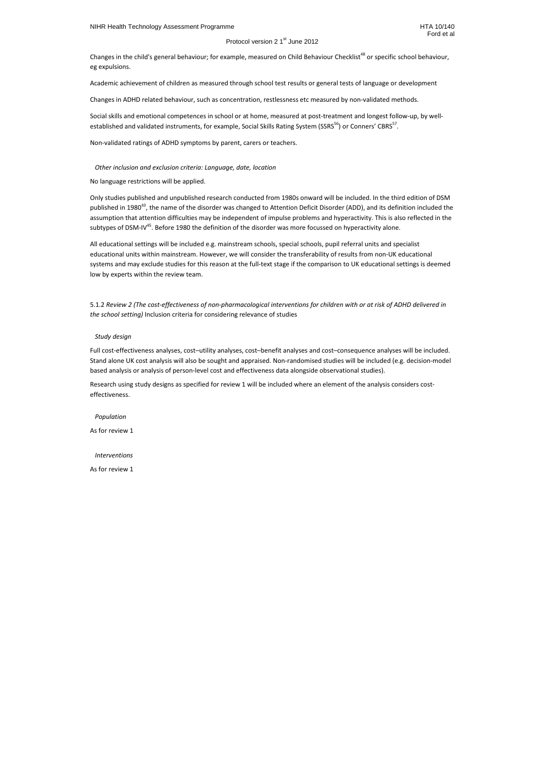Changes in the child's general behaviour; for example, measured on Child Behaviour Checklist<sup>48</sup> or specific school behaviour, eg expulsions.

Social skills and emotional competences in school or at home, measured at post-treatment and longest follow-up, by wellestablished and validated instruments, for example, Social Skills Rating System (SSRS<sup>56</sup>) or Conners' CBRS<sup>57</sup>.

Academic achievement of children as measured through school test results or general tests of language or development

Changes in ADHD related behaviour, such as concentration, restlessness etc measured by non-validated methods.

Only studies published and unpublished research conducted from 1980s onward will be included. In the third edition of DSM published in 1980<sup>43</sup>, the name of the disorder was changed to Attention Deficit Disorder (ADD), and its definition included the assumption that attention difficulties may be independent of impulse problems and hyperactivity. This is also reflected in the subtypes of DSM-IV<sup>45</sup>. Before 1980 the definition of the disorder was more focussed on hyperactivity alone.

Non-validated ratings of ADHD symptoms by parent, carers or teachers.

## *Other inclusion and exclusion criteria: Language, date, location*

No language restrictions will be applied.

All educational settings will be included e.g. mainstream schools, special schools, pupil referral units and specialist educational units within mainstream. However, we will consider the transferability of results from non-UK educational systems and may exclude studies for this reason at the full-text stage if the comparison to UK educational settings is deemed low by experts within the review team.

5.1.2 *Review 2 (The cost-effectiveness of non-pharmacological interventions for children with or at risk of ADHD delivered in the school setting)* Inclusion criteria for considering relevance of studies

## *Study design*

Full cost-effectiveness analyses, cost–utility analyses, cost–benefit analyses and cost–consequence analyses will be included. Stand alone UK cost analysis will also be sought and appraised. Non-randomised studies will be included (e.g. decision-model based analysis or analysis of person-level cost and effectiveness data alongside observational studies).

Research using study designs as specified for review 1 will be included where an element of the analysis considers costeffectiveness.

 *Population*  As for review 1

 *Interventions* 

As for review 1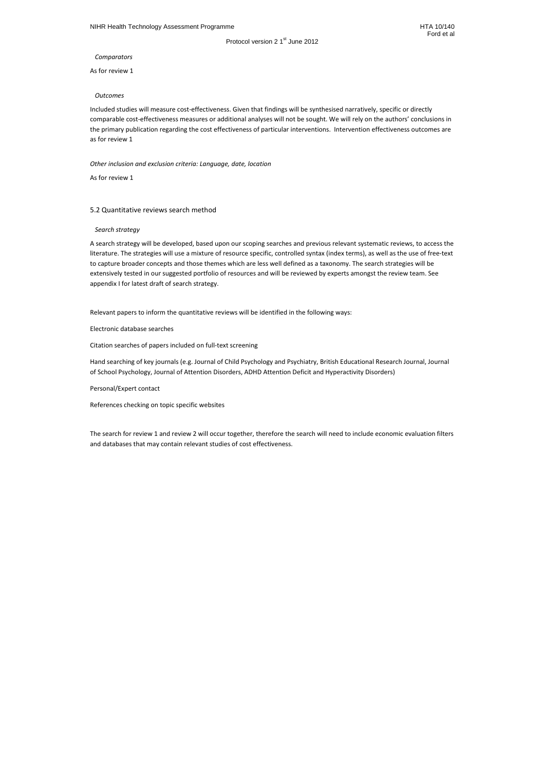*Comparators* 

As for review 1

## *Outcomes*

Included studies will measure cost-effectiveness. Given that findings will be synthesised narratively, specific or directly comparable cost-effectiveness measures or additional analyses will not be sought. We will rely on the authors' conclusions in the primary publication regarding the cost effectiveness of particular interventions. Intervention effectiveness outcomes are as for review 1

*Other inclusion and exclusion criteria: Language, date, location* 

As for review 1

## 5.2 Quantitative reviews search method

*Search strategy* 

A search strategy will be developed, based upon our scoping searches and previous relevant systematic reviews, to access the literature. The strategies will use a mixture of resource specific, controlled syntax (index terms), as well as the use of free-text to capture broader concepts and those themes which are less well defined as a taxonomy. The search strategies will be extensively tested in our suggested portfolio of resources and will be reviewed by experts amongst the review team. See appendix I for latest draft of search strategy.

Relevant papers to inform the quantitative reviews will be identified in the following ways:

Electronic database searches

Citation searches of papers included on full-text screening

Hand searching of key journals (e.g. Journal of Child Psychology and Psychiatry, British Educational Research Journal, Journal of School Psychology, Journal of Attention Disorders, ADHD Attention Deficit and Hyperactivity Disorders)

Personal/Expert contact

References checking on topic specific websites

The search for review 1 and review 2 will occur together, therefore the search will need to include economic evaluation filters and databases that may contain relevant studies of cost effectiveness.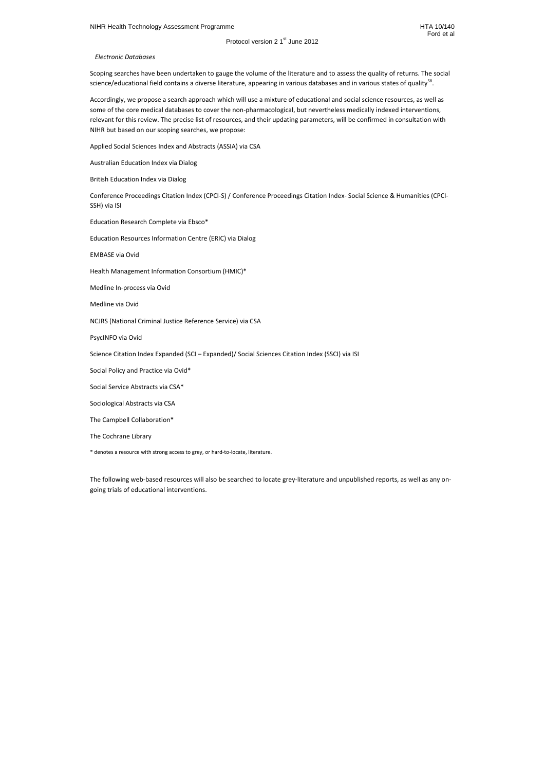Scoping searches have been undertaken to gauge the volume of the literature and to assess the quality of returns. The social science/educational field contains a diverse literature, appearing in various databases and in various states of quality<sup>58</sup>.

 *Electronic Databases* 

Accordingly, we propose a search approach which will use a mixture of educational and social science resources, as well as some of the core medical databases to cover the non-pharmacological, but nevertheless medically indexed interventions, relevant for this review. The precise list of resources, and their updating parameters, will be confirmed in consultation with NIHR but based on our scoping searches, we propose:

Applied Social Sciences Index and Abstracts (ASSIA) via CSA

Australian Education Index via Dialog

British Education Index via Dialog

Conference Proceedings Citation Index (CPCI-S) / Conference Proceedings Citation Index- Social Science & Humanities (CPCI-SSH) via ISI

Education Research Complete via Ebsco\*

Education Resources Information Centre (ERIC) via Dialog

EMBASE via Ovid

Health Management Information Consortium (HMIC)\*

Medline In-process via Ovid

Medline via Ovid

NCJRS (National Criminal Justice Reference Service) via CSA

PsycINFO via Ovid

Science Citation Index Expanded (SCI – Expanded)/ Social Sciences Citation Index (SSCI) via ISI

Social Policy and Practice via Ovid\*

Social Service Abstracts via CSA\*

Sociological Abstracts via CSA

The Campbell Collaboration\*

The Cochrane Library

\* denotes a resource with strong access to grey, or hard-to-locate, literature.

The following web-based resources will also be searched to locate grey-literature and unpublished reports, as well as any ongoing trials of educational interventions.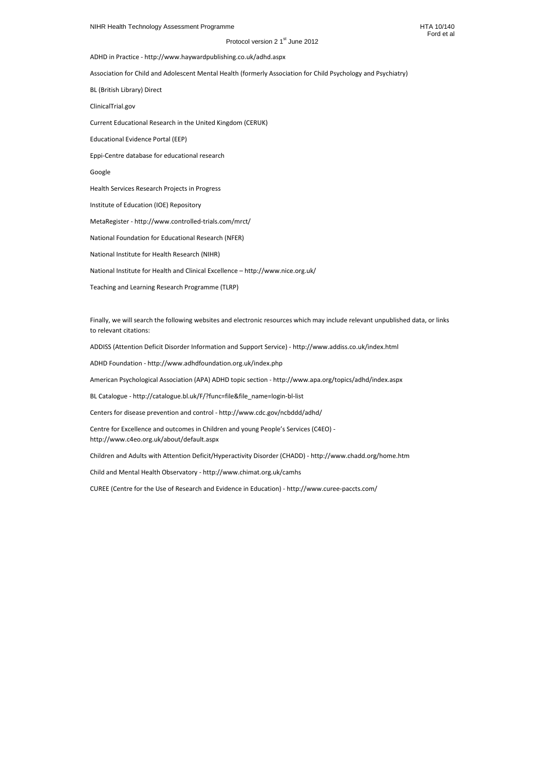Ford et al

Protocol version 2 1<sup>st</sup> June 2012

ADHD in Practice - http://www.haywardpublishing.co.uk/adhd.aspx

Association for Child and Adolescent Mental Health (formerly Association for Child Psychology and Psychiatry)

BL (British Library) Direct

ClinicalTrial.gov

Current Educational Research in the United Kingdom (CERUK)

Educational Evidence Portal (EEP)

Eppi-Centre database for educational research

Google

Health Services Research Projects in Progress

Institute of Education (IOE) Repository

MetaRegister - http://www.controlled-trials.com/mrct/

National Foundation for Educational Research (NFER)

National Institute for Health Research (NIHR)

National Institute for Health and Clinical Excellence – http://www.nice.org.uk/

Teaching and Learning Research Programme (TLRP)

Finally, we will search the following websites and electronic resources which may include relevant unpublished data, or links to relevant citations:

ADDISS (Attention Deficit Disorder Information and Support Service) - http://www.addiss.co.uk/index.html

ADHD Foundation - http://www.adhdfoundation.org.uk/index.php

American Psychological Association (APA) ADHD topic section - http://www.apa.org/topics/adhd/index.aspx

BL Catalogue - http://catalogue.bl.uk/F/?func=file&file\_name=login-bl-list

Centers for disease prevention and control - http://www.cdc.gov/ncbddd/adhd/

Centre for Excellence and outcomes in Children and young People's Services (C4EO) http://www.c4eo.org.uk/about/default.aspx

Children and Adults with Attention Deficit/Hyperactivity Disorder (CHADD) - http://www.chadd.org/home.htm

Child and Mental Health Observatory - http://www.chimat.org.uk/camhs

CUREE (Centre for the Use of Research and Evidence in Education) - http://www.curee-paccts.com/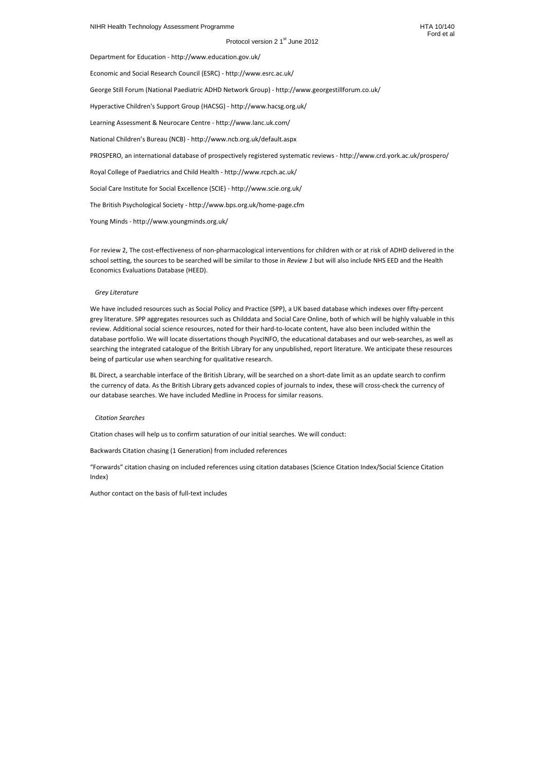Department for Education - http://www.education.gov.uk/

Economic and Social Research Council (ESRC) - http://www.esrc.ac.uk/

George Still Forum (National Paediatric ADHD Network Group) - http://www.georgestillforum.co.uk/

Hyperactive Children's Support Group (HACSG) - http://www.hacsg.org.uk/

Learning Assessment & Neurocare Centre - http://www.lanc.uk.com/

National Children's Bureau (NCB) - http://www.ncb.org.uk/default.aspx

PROSPERO, an international database of prospectively registered systematic reviews - http://www.crd.york.ac.uk/prospero/

Royal College of Paediatrics and Child Health - http://www.rcpch.ac.uk/

Social Care Institute for Social Excellence (SCIE) - http://www.scie.org.uk/

The British Psychological Society - http://www.bps.org.uk/home-page.cfm

Young Minds - http://www.youngminds.org.uk/

For review 2, The cost-effectiveness of non-pharmacological interventions for children with or at risk of ADHD delivered in the school setting, the sources to be searched will be similar to those in *Review 1* but will also include NHS EED and the Health Economics Evaluations Database (HEED).

#### *Grey Literature*

We have included resources such as Social Policy and Practice (SPP), a UK based database which indexes over fifty-percent grey literature. SPP aggregates resources such as Childdata and Social Care Online, both of which will be highly valuable in this review. Additional social science resources, noted for their hard-to-locate content, have also been included within the database portfolio. We will locate dissertations though PsycINFO, the educational databases and our web-searches, as well as searching the integrated catalogue of the British Library for any unpublished, report literature. We anticipate these resources being of particular use when searching for qualitative research.

BL Direct, a searchable interface of the British Library, will be searched on a short-date limit as an update search to confirm the currency of data. As the British Library gets advanced copies of journals to index, these will cross-check the currency of our database searches. We have included Medline in Process for similar reasons.

#### *Citation Searches*

Citation chases will help us to confirm saturation of our initial searches. We will conduct:

Backwards Citation chasing (1 Generation) from included references

"Forwards" citation chasing on included references using citation databases (Science Citation Index/Social Science Citation Index)

Author contact on the basis of full-text includes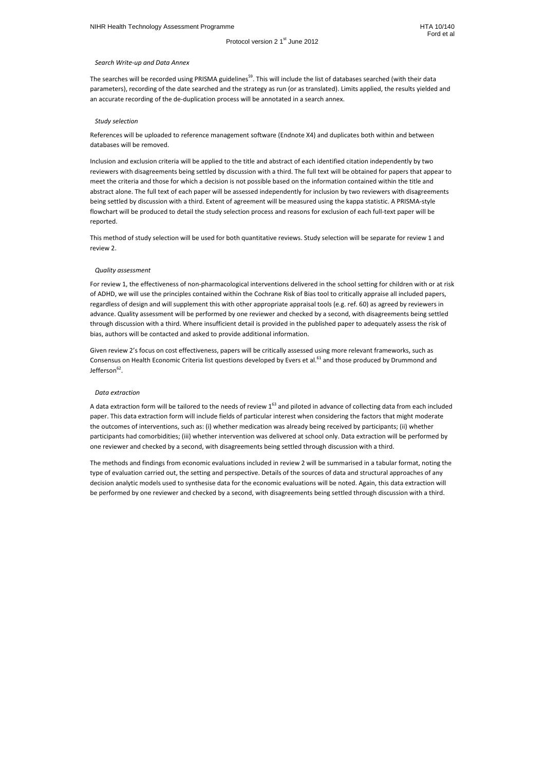Ford et al

## *Search Write-up and Data Annex*

The searches will be recorded using PRISMA guidelines<sup>59</sup>. This will include the list of databases searched (with their data parameters), recording of the date searched and the strategy as run (or as translated). Limits applied, the results yielded and an accurate recording of the de-duplication process will be annotated in a search annex.

## *Study selection*

References will be uploaded to reference management software (Endnote X4) and duplicates both within and between databases will be removed.

Inclusion and exclusion criteria will be applied to the title and abstract of each identified citation independently by two reviewers with disagreements being settled by discussion with a third. The full text will be obtained for papers that appear to meet the criteria and those for which a decision is not possible based on the information contained within the title and abstract alone. The full text of each paper will be assessed independently for inclusion by two reviewers with disagreements being settled by discussion with a third. Extent of agreement will be measured using the kappa statistic. A PRISMA-style flowchart will be produced to detail the study selection process and reasons for exclusion of each full-text paper will be reported.

Given review 2's focus on cost effectiveness, papers will be critically assessed using more relevant frameworks, such as Consensus on Health Economic Criteria list questions developed by Evers et al.<sup>61</sup> and those produced by Drummond and Jefferson<sup>62</sup>.

This method of study selection will be used for both quantitative reviews. Study selection will be separate for review 1 and review 2.

## *Quality assessment*

A data extraction form will be tailored to the needs of review  $1^{63}$  and piloted in advance of collecting data from each included paper. This data extraction form will include fields of particular interest when considering the factors that might moderate the outcomes of interventions, such as: (i) whether medication was already being received by participants; (ii) whether participants had comorbidities; (iii) whether intervention was delivered at school only. Data extraction will be performed by one reviewer and checked by a second, with disagreements being settled through discussion with a third.

For review 1, the effectiveness of non-pharmacological interventions delivered in the school setting for children with or at risk of ADHD, we will use the principles contained within the Cochrane Risk of Bias tool to critically appraise all included papers, regardless of design and will supplement this with other appropriate appraisal tools (e.g. ref. 60) as agreed by reviewers in advance. Quality assessment will be performed by one reviewer and checked by a second, with disagreements being settled through discussion with a third. Where insufficient detail is provided in the published paper to adequately assess the risk of bias, authors will be contacted and asked to provide additional information.

## *Data extraction*

The methods and findings from economic evaluations included in review 2 will be summarised in a tabular format, noting the type of evaluation carried out, the setting and perspective. Details of the sources of data and structural approaches of any decision analytic models used to synthesise data for the economic evaluations will be noted. Again, this data extraction will be performed by one reviewer and checked by a second, with disagreements being settled through discussion with a third.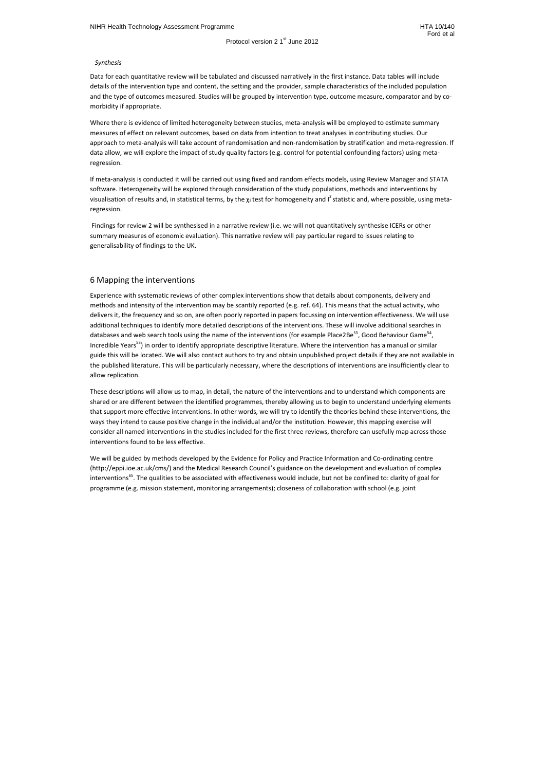#### *Synthesis*

Data for each quantitative review will be tabulated and discussed narratively in the first instance. Data tables will include details of the intervention type and content, the setting and the provider, sample characteristics of the included population and the type of outcomes measured. Studies will be grouped by intervention type, outcome measure, comparator and by comorbidity if appropriate.

Where there is evidence of limited heterogeneity between studies, meta-analysis will be employed to estimate summary measures of effect on relevant outcomes, based on data from intention to treat analyses in contributing studies. Our approach to meta-analysis will take account of randomisation and non-randomisation by stratification and meta-regression. If data allow, we will explore the impact of study quality factors (e.g. control for potential confounding factors) using metaregression.

If meta-analysis is conducted it will be carried out using fixed and random effects models, using Review Manager and STATA software. Heterogeneity will be explored through consideration of the study populations, methods and interventions by visualisation of results and, in statistical terms, by the  $\chi_2$ test for homogeneity and  $I^2$ statistic and, where possible, using metaregression.

 Findings for review 2 will be synthesised in a narrative review (i.e. we will not quantitatively synthesise ICERs or other summary measures of economic evaluation). This narrative review will pay particular regard to issues relating to generalisability of findings to the UK.

## 6 Mapping the interventions

Experience with systematic reviews of other complex interventions show that details about components, delivery and methods and intensity of the intervention may be scantily reported (e.g. ref. 64). This means that the actual activity, who delivers it, the frequency and so on, are often poorly reported in papers focussing on intervention effectiveness. We will use additional techniques to identify more detailed descriptions of the interventions. These will involve additional searches in databases and web search tools using the name of the interventions (for example Place2Be<sup>55</sup>, Good Behaviour Game<sup>54</sup>, Incredible Years<sup>53</sup>) in order to identify appropriate descriptive literature. Where the intervention has a manual or similar guide this will be located. We will also contact authors to try and obtain unpublished project details if they are not available in the published literature. This will be particularly necessary, where the descriptions of interventions are insufficiently clear to allow replication.

These descriptions will allow us to map, in detail, the nature of the interventions and to understand which components are shared or are different between the identified programmes, thereby allowing us to begin to understand underlying elements that support more effective interventions. In other words, we will try to identify the theories behind these interventions, the ways they intend to cause positive change in the individual and/or the institution. However, this mapping exercise will consider all named interventions in the studies included for the first three reviews, therefore can usefully map across those interventions found to be less effective.

We will be guided by methods developed by the Evidence for Policy and Practice Information and Co-ordinating centre (http://eppi.ioe.ac.uk/cms/) and the Medical Research Council's guidance on the development and evaluation of complex interventions<sup>65</sup>. The qualities to be associated with effectiveness would include, but not be confined to: clarity of goal for programme (e.g. mission statement, monitoring arrangements); closeness of collaboration with school (e.g. joint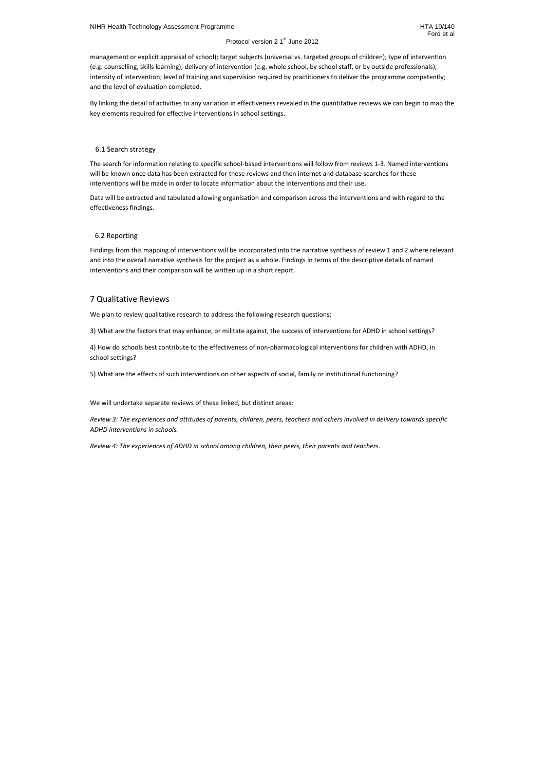management or explicit appraisal of school); target subjects (universal vs. targeted groups of children); type of intervention (e.g. counselling, skills learning); delivery of intervention (e.g. whole school, by school staff, or by outside professionals); intensity of intervention; level of training and supervision required by practitioners to deliver the programme competently; and the level of evaluation completed.

By linking the detail of activities to any variation in effectiveness revealed in the quantitative reviews we can begin to map the key elements required for effective interventions in school settings.

## 6.1 Search strategy

The search for information relating to specific school-based interventions will follow from reviews 1-3. Named interventions will be known once data has been extracted for these reviews and then internet and database searches for these interventions will be made in order to locate information about the interventions and their use.

Data will be extracted and tabulated allowing organisation and comparison across the interventions and with regard to the effectiveness findings.

## 6.2 Reporting

Findings from this mapping of interventions will be incorporated into the narrative synthesis of review 1 and 2 where relevant and into the overall narrative synthesis for the project as a whole. Findings in terms of the descriptive details of named interventions and their comparison will be written up in a short report.

# 7 Qualitative Reviews

We plan to review qualitative research to address the following research questions:

3) What are the factors that may enhance, or militate against, the success of interventions for ADHD in school settings?

4) How do schools best contribute to the effectiveness of non-pharmacological interventions for children with ADHD, in school settings?

5) What are the effects of such interventions on other aspects of social, family or institutional functioning?

We will undertake separate reviews of these linked, but distinct areas:

*Review 3: The experiences and attitudes of parents, children, peers, teachers and others involved in delivery towards specific ADHD interventions in schools.* 

*Review 4: The experiences of ADHD in school among children, their peers, their parents and teachers.*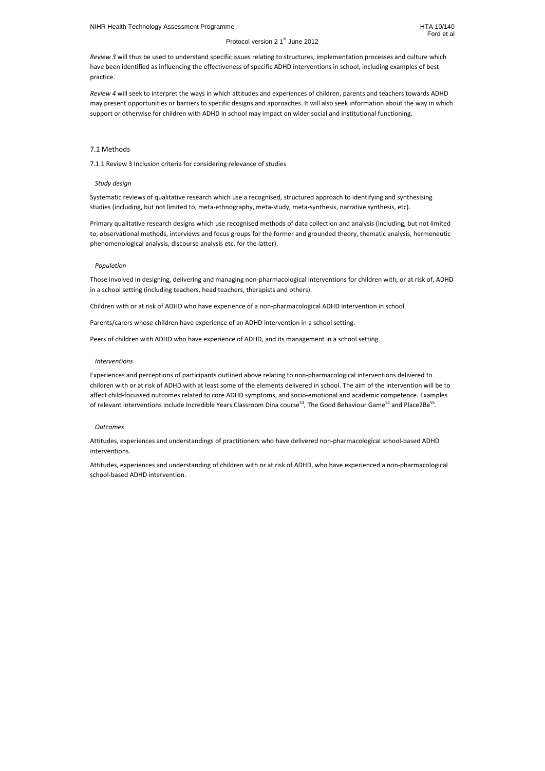*Review 3* will thus be used to understand specific issues relating to structures, implementation processes and culture which have been identified as influencing the effectiveness of specific ADHD interventions in school, including examples of best practice.

*Review 4* will seek to interpret the ways in which attitudes and experiences of children, parents and teachers towards ADHD may present opportunities or barriers to specific designs and approaches. It will also seek information about the way in which support or otherwise for children with ADHD in school may impact on wider social and institutional functioning.

## 7.1 Methods

7.1.1 Review 3 Inclusion criteria for considering relevance of studies

## *Study design*

Systematic reviews of qualitative research which use a recognised, structured approach to identifying and synthesising studies (including, but not limited to, meta-ethnography, meta-study, meta-synthesis, narrative synthesis, etc).

Experiences and perceptions of participants outlined above relating to non-pharmacological interventions delivered to children with or at risk of ADHD with at least some of the elements delivered in school. The aim of the intervention will be to affect child-focussed outcomes related to core ADHD symptoms, and socio-emotional and academic competence. Examples of relevant interventions include Incredible Years Classroom Dina course<sup>53</sup>, The Good Behaviour Game<sup>54</sup> and Place2Be<sup>55</sup>.

Primary qualitative research designs which use recognised methods of data collection and analysis (including, but not limited to, observational methods, interviews and focus groups for the former and grounded theory, thematic analysis, hermeneutic phenomenological analysis, discourse analysis etc. for the latter).

## *Population*

Those involved in designing, delivering and managing non-pharmacological interventions for children with, or at risk of, ADHD in a school setting (including teachers, head teachers, therapists and others).

Children with or at risk of ADHD who have experience of a non-pharmacological ADHD intervention in school.

Parents/carers whose children have experience of an ADHD intervention in a school setting.

Peers of children with ADHD who have experience of ADHD, and its management in a school setting.

## *Interventions*

## *Outcomes*

Attitudes, experiences and understandings of practitioners who have delivered non-pharmacological school-based ADHD interventions.

Attitudes, experiences and understanding of children with or at risk of ADHD, who have experienced a non-pharmacological school-based ADHD intervention.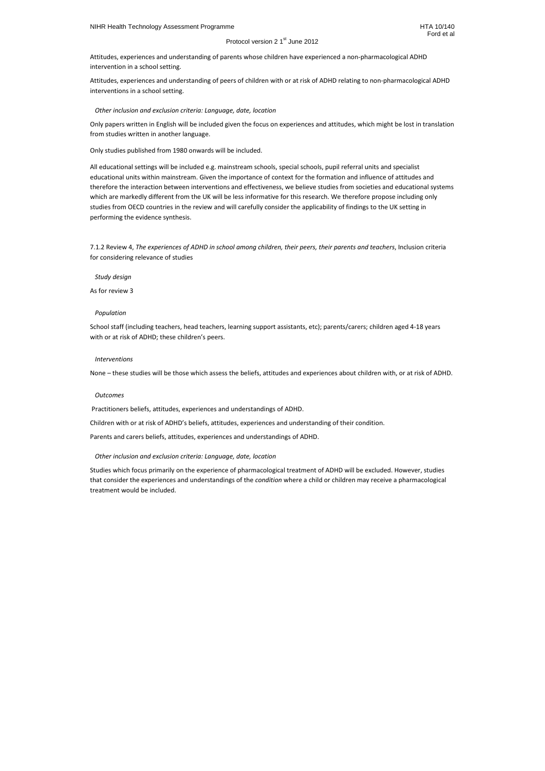Attitudes, experiences and understanding of peers of children with or at risk of ADHD relating to non-pharmacological ADHD interventions in a school setting.

## *Other inclusion and exclusion criteria: Language, date, location*

Only papers written in English will be included given the focus on experiences and attitudes, which might be lost in translation from studies written in another language.

Only studies published from 1980 onwards will be included.

All educational settings will be included e.g. mainstream schools, special schools, pupil referral units and specialist educational units within mainstream. Given the importance of context for the formation and influence of attitudes and therefore the interaction between interventions and effectiveness, we believe studies from societies and educational systems which are markedly different from the UK will be less informative for this research. We therefore propose including only studies from OECD countries in the review and will carefully consider the applicability of findings to the UK setting in performing the evidence synthesis.

7.1.2 Review 4, *The experiences of ADHD in school among children, their peers, their parents and teachers*, Inclusion criteria for considering relevance of studies

*Study design* 

As for review 3

## *Population*

School staff (including teachers, head teachers, learning support assistants, etc); parents/carers; children aged 4-18 years with or at risk of ADHD; these children's peers.

## *Interventions*

None – these studies will be those which assess the beliefs, attitudes and experiences about children with, or at risk of ADHD.

## *Outcomes*

Practitioners beliefs, attitudes, experiences and understandings of ADHD.

Children with or at risk of ADHD's beliefs, attitudes, experiences and understanding of their condition.

Parents and carers beliefs, attitudes, experiences and understandings of ADHD.

## *Other inclusion and exclusion criteria: Language, date, location*

Studies which focus primarily on the experience of pharmacological treatment of ADHD will be excluded. However, studies that consider the experiences and understandings of the *condition* where a child or children may receive a pharmacological treatment would be included.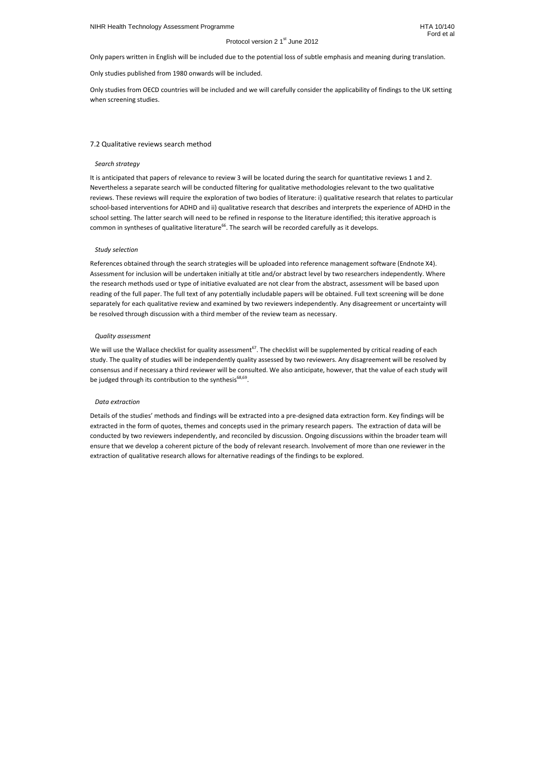Only papers written in English will be included due to the potential loss of subtle emphasis and meaning during translation.

It is anticipated that papers of relevance to review 3 will be located during the search for quantitative reviews 1 and 2. Nevertheless a separate search will be conducted filtering for qualitative methodologies relevant to the two qualitative reviews. These reviews will require the exploration of two bodies of literature: i) qualitative research that relates to particular school-based interventions for ADHD and ii) qualitative research that describes and interprets the experience of ADHD in the school setting. The latter search will need to be refined in response to the literature identified; this iterative approach is common in syntheses of qualitative literature<sup>66</sup>. The search will be recorded carefully as it develops.

Only studies published from 1980 onwards will be included.

Only studies from OECD countries will be included and we will carefully consider the applicability of findings to the UK setting when screening studies.

## 7.2 Qualitative reviews search method

#### *Search strategy*

#### *Study selection*

References obtained through the search strategies will be uploaded into reference management software (Endnote X4). Assessment for inclusion will be undertaken initially at title and/or abstract level by two researchers independently. Where the research methods used or type of initiative evaluated are not clear from the abstract, assessment will be based upon reading of the full paper. The full text of any potentially includable papers will be obtained. Full text screening will be done separately for each qualitative review and examined by two reviewers independently. Any disagreement or uncertainty will be resolved through discussion with a third member of the review team as necessary.

#### *Quality assessment*

We will use the Wallace checklist for quality assessment<sup>67</sup>. The checklist will be supplemented by critical reading of each study. The quality of studies will be independently quality assessed by two reviewers. Any disagreement will be resolved by consensus and if necessary a third reviewer will be consulted. We also anticipate, however, that the value of each study will be judged through its contribution to the synthesis<sup>68,69</sup>.

#### *Data extraction*

Details of the studies' methods and findings will be extracted into a pre-designed data extraction form. Key findings will be extracted in the form of quotes, themes and concepts used in the primary research papers. The extraction of data will be conducted by two reviewers independently, and reconciled by discussion. Ongoing discussions within the broader team will ensure that we develop a coherent picture of the body of relevant research. Involvement of more than one reviewer in the extraction of qualitative research allows for alternative readings of the findings to be explored.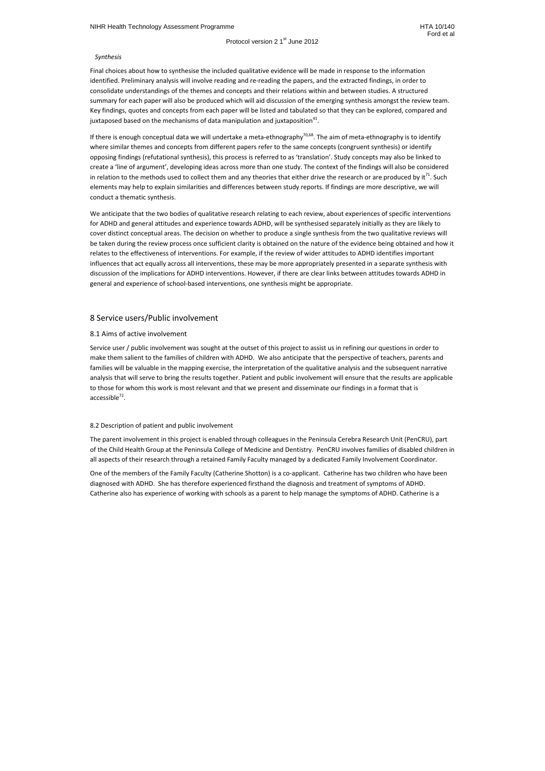Final choices about how to synthesise the included qualitative evidence will be made in response to the information identified. Preliminary analysis will involve reading and re-reading the papers, and the extracted findings, in order to consolidate understandings of the themes and concepts and their relations within and between studies. A structured summary for each paper will also be produced which will aid discussion of the emerging synthesis amongst the review team. Key findings, quotes and concepts from each paper will be listed and tabulated so that they can be explored, compared and juxtaposed based on the mechanisms of data manipulation and juxtaposition $^{41}$ .

## *Synthesis*

If there is enough conceptual data we will undertake a meta-ethnography<sup>70,68</sup>. The aim of meta-ethnography is to identify where similar themes and concepts from different papers refer to the same concepts (congruent synthesis) or identify opposing findings (refutational synthesis), this process is referred to as 'translation'. Study concepts may also be linked to create a 'line of argument', developing ideas across more than one study. The context of the findings will also be considered in relation to the methods used to collect them and any theories that either drive the research or are produced by it $^{71}$ . Such elements may help to explain similarities and differences between study reports. If findings are more descriptive, we will conduct a thematic synthesis.

Service user / public involvement was sought at the outset of this project to assist us in refining our questions in order to make them salient to the families of children with ADHD. We also anticipate that the perspective of teachers, parents and families will be valuable in the mapping exercise, the interpretation of the qualitative analysis and the subsequent narrative analysis that will serve to bring the results together. Patient and public involvement will ensure that the results are applicable to those for whom this work is most relevant and that we present and disseminate our findings in a format that is accessible<sup>72</sup>.

We anticipate that the two bodies of qualitative research relating to each review, about experiences of specific interventions for ADHD and general attitudes and experience towards ADHD, will be synthesised separately initially as they are likely to cover distinct conceptual areas. The decision on whether to produce a single synthesis from the two qualitative reviews will be taken during the review process once sufficient clarity is obtained on the nature of the evidence being obtained and how it relates to the effectiveness of interventions. For example, if the review of wider attitudes to ADHD identifies important influences that act equally across all interventions, these may be more appropriately presented in a separate synthesis with discussion of the implications for ADHD interventions. However, if there are clear links between attitudes towards ADHD in general and experience of school-based interventions, one synthesis might be appropriate.

# 8 Service users/Public involvement

## 8.1 Aims of active involvement

## 8.2 Description of patient and public involvement

The parent involvement in this project is enabled through colleagues in the Peninsula Cerebra Research Unit (PenCRU), part of the Child Health Group at the Peninsula College of Medicine and Dentistry. PenCRU involves families of disabled children in all aspects of their research through a retained Family Faculty managed by a dedicated Family Involvement Coordinator.

One of the members of the Family Faculty (Catherine Shotton) is a co-applicant. Catherine has two children who have been diagnosed with ADHD. She has therefore experienced firsthand the diagnosis and treatment of symptoms of ADHD. Catherine also has experience of working with schools as a parent to help manage the symptoms of ADHD. Catherine is a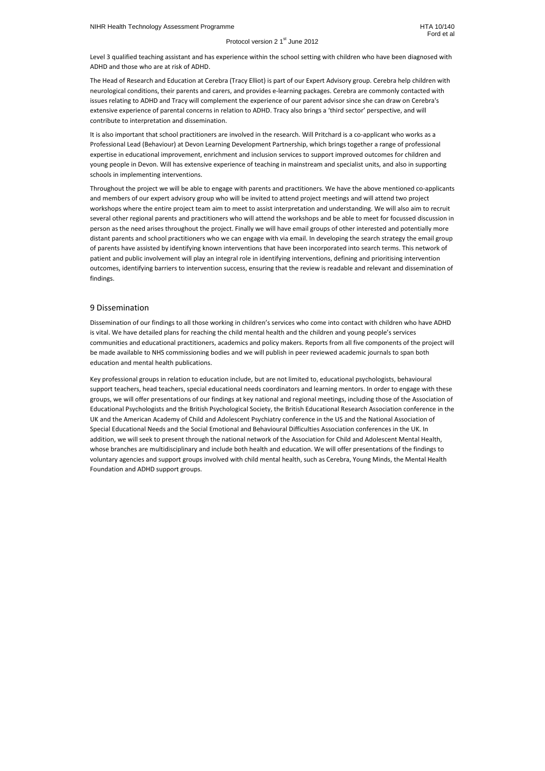Level 3 qualified teaching assistant and has experience within the school setting with children who have been diagnosed with ADHD and those who are at risk of ADHD.

The Head of Research and Education at Cerebra (Tracy Elliot) is part of our Expert Advisory group. Cerebra help children with neurological conditions, their parents and carers, and provides e-learning packages. Cerebra are commonly contacted with issues relating to ADHD and Tracy will complement the experience of our parent advisor since she can draw on Cerebra's extensive experience of parental concerns in relation to ADHD. Tracy also brings a 'third sector' perspective, and will contribute to interpretation and dissemination.

It is also important that school practitioners are involved in the research. Will Pritchard is a co-applicant who works as a Professional Lead (Behaviour) at Devon Learning Development Partnership, which brings together a range of professional expertise in educational improvement, enrichment and inclusion services to support improved outcomes for children and young people in Devon. Will has extensive experience of teaching in mainstream and specialist units, and also in supporting schools in implementing interventions.

Throughout the project we will be able to engage with parents and practitioners. We have the above mentioned co-applicants and members of our expert advisory group who will be invited to attend project meetings and will attend two project workshops where the entire project team aim to meet to assist interpretation and understanding. We will also aim to recruit several other regional parents and practitioners who will attend the workshops and be able to meet for focussed discussion in person as the need arises throughout the project. Finally we will have email groups of other interested and potentially more distant parents and school practitioners who we can engage with via email. In developing the search strategy the email group of parents have assisted by identifying known interventions that have been incorporated into search terms. This network of patient and public involvement will play an integral role in identifying interventions, defining and prioritising intervention outcomes, identifying barriers to intervention success, ensuring that the review is readable and relevant and dissemination of findings.

# 9 Dissemination

Dissemination of our findings to all those working in children's services who come into contact with children who have ADHD is vital. We have detailed plans for reaching the child mental health and the children and young people's services communities and educational practitioners, academics and policy makers. Reports from all five components of the project will be made available to NHS commissioning bodies and we will publish in peer reviewed academic journals to span both education and mental health publications.

Key professional groups in relation to education include, but are not limited to, educational psychologists, behavioural support teachers, head teachers, special educational needs coordinators and learning mentors. In order to engage with these groups, we will offer presentations of our findings at key national and regional meetings, including those of the Association of Educational Psychologists and the British Psychological Society, the British Educational Research Association conference in the UK and the American Academy of Child and Adolescent Psychiatry conference in the US and the National Association of Special Educational Needs and the Social Emotional and Behavioural Difficulties Association conferences in the UK. In addition, we will seek to present through the national network of the Association for Child and Adolescent Mental Health, whose branches are multidisciplinary and include both health and education. We will offer presentations of the findings to voluntary agencies and support groups involved with child mental health, such as Cerebra, Young Minds, the Mental Health Foundation and ADHD support groups.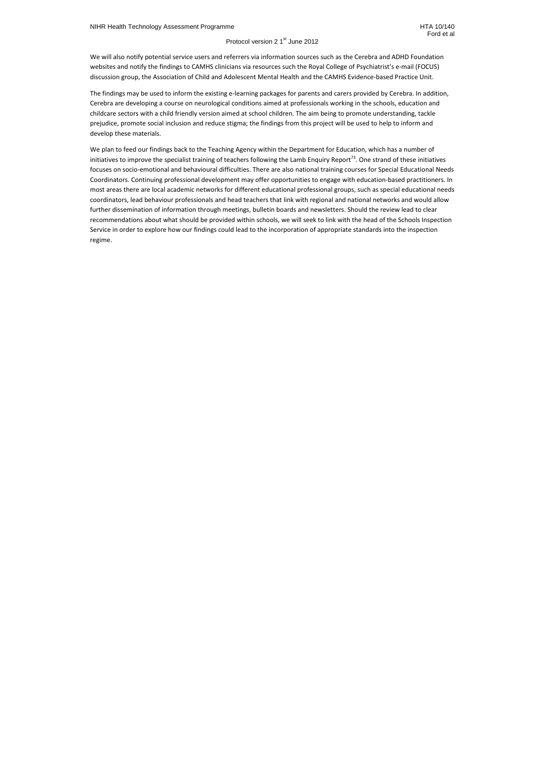We will also notify potential service users and referrers via information sources such as the Cerebra and ADHD Foundation websites and notify the findings to CAMHS clinicians via resources such the Royal College of Psychiatrist's e-mail (FOCUS) discussion group, the Association of Child and Adolescent Mental Health and the CAMHS Evidence-based Practice Unit.

The findings may be used to inform the existing e-learning packages for parents and carers provided by Cerebra. In addition, Cerebra are developing a course on neurological conditions aimed at professionals working in the schools, education and childcare sectors with a child friendly version aimed at school children. The aim being to promote understanding, tackle prejudice, promote social inclusion and reduce stigma; the findings from this project will be used to help to inform and develop these materials.

We plan to feed our findings back to the Teaching Agency within the Department for Education, which has a number of initiatives to improve the specialist training of teachers following the Lamb Enquiry Report<sup>73</sup>. One strand of these initiatives focuses on socio-emotional and behavioural difficulties. There are also national training courses for Special Educational Needs Coordinators. Continuing professional development may offer opportunities to engage with education-based practitioners. In most areas there are local academic networks for different educational professional groups, such as special educational needs coordinators, lead behaviour professionals and head teachers that link with regional and national networks and would allow further dissemination of information through meetings, bulletin boards and newsletters. Should the review lead to clear recommendations about what should be provided within schools, we will seek to link with the head of the Schools Inspection Service in order to explore how our findings could lead to the incorporation of appropriate standards into the inspection regime.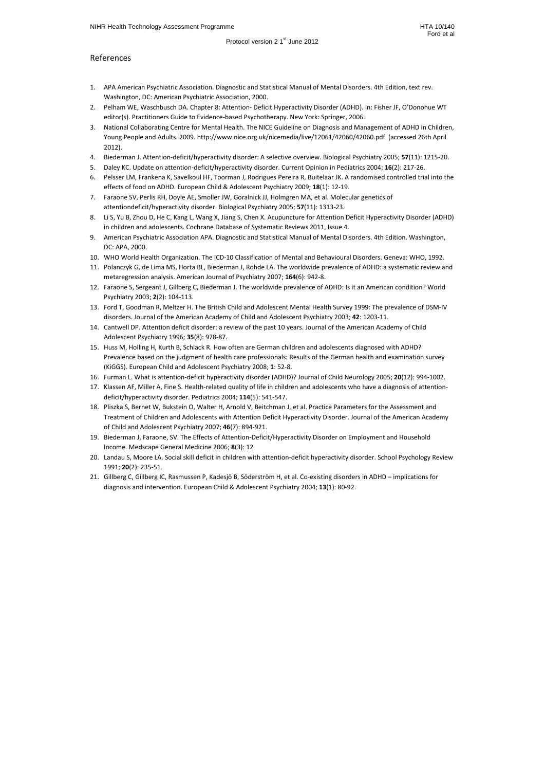# References

- 1. APA American Psychiatric Association. Diagnostic and Statistical Manual of Mental Disorders. 4th Edition, text rev. Washington, DC: American Psychiatric Association, 2000.
- 2. Pelham WE, Waschbusch DA. Chapter 8: Attention- Deficit Hyperactivity Disorder (ADHD). In: Fisher JF, O'Donohue WT editor(s). Practitioners Guide to Evidence-based Psychotherapy. New York: Springer, 2006.
- 3. National Collaborating Centre for Mental Health. The NICE Guideline on Diagnosis and Management of ADHD in Children, Young People and Adults. 2009. http://www.nice.org.uk/nicemedia/live/12061/42060/42060.pdf (accessed 26th April 2012).
- 4. Biederman J. Attention-deficit/hyperactivity disorder: A selective overview. Biological Psychiatry 2005; **57**(11): 1215-20.
- 5. Daley KC. Update on attention-deficit/hyperactivity disorder. Current Opinion in Pediatrics 2004; **16**(2): 217-26.
- 6. Pelsser LM, Frankena K, Savelkoul HF, Toorman J, Rodrigues Pereira R, Buitelaar JK. A randomised controlled trial into the effects of food on ADHD. European Child & Adolescent Psychiatry 2009; **18**(1): 12-19.
- 7. Faraone SV, Perlis RH, Doyle AE, Smoller JW, Goralnick JJ, Holmgren MA, et al. Molecular genetics of attentiondeficit/hyperactivity disorder. Biological Psychiatry 2005; **57**(11): 1313-23.
- 8. Li S, Yu B, Zhou D, He C, Kang L, Wang X, Jiang S, Chen X. Acupuncture for Attention Deficit Hyperactivity Disorder (ADHD) in children and adolescents. Cochrane Database of Systematic Reviews 2011, Issue 4.
- 9. American Psychiatric Association APA. Diagnostic and Statistical Manual of Mental Disorders. 4th Edition. Washington, DC: APA, 2000.
- 10. WHO World Health Organization. The ICD-10 Classification of Mental and Behavioural Disorders. Geneva: WHO, 1992.
- 11. Polanczyk G, de Lima MS, Horta BL, Biederman J, Rohde LA. The worldwide prevalence of ADHD: a systematic review and metaregression analysis. American Journal of Psychiatry 2007; **164**(6): 942-8.
- 12. Faraone S, Sergeant J, Gillberg C, Biederman J. The worldwide prevalence of ADHD: Is it an American condition? World Psychiatry 2003; **2**(2): 104-113.
- 13. Ford T, Goodman R, Meltzer H. The British Child and Adolescent Mental Health Survey 1999: The prevalence of DSM-IV disorders. Journal of the American Academy of Child and Adolescent Psychiatry 2003; **42**: 1203-11.
- 14. Cantwell DP. Attention deficit disorder: a review of the past 10 years. Journal of the American Academy of Child Adolescent Psychiatry 1996; **35**(8): 978-87.
- 15. Huss M, Holling H, Kurth B, Schlack R. How often are German children and adolescents diagnosed with ADHD? Prevalence based on the judgment of health care professionals: Results of the German health and examination survey (KiGGS). European Child and Adolescent Psychiatry 2008; **1**: 52-8.
- 16. Furman L. What is attention-deficit hyperactivity disorder (ADHD)? Journal of Child Neurology 2005; **20**(12): 994-1002.
- 17. Klassen AF, Miller A, Fine S. Health-related quality of life in children and adolescents who have a diagnosis of attentiondeficit/hyperactivity disorder. Pediatrics 2004; **114**(5): 541-547.
- 18. Pliszka S, Bernet W, Bukstein O, Walter H, Arnold V, Beitchman J, et al. Practice Parameters for the Assessment and Treatment of Children and Adolescents with Attention Deficit Hyperactivity Disorder. Journal of the American Academy of Child and Adolescent Psychiatry 2007; **46**(7): 894-921.
- 19. Biederman J, Faraone, SV. The Effects of Attention-Deficit/Hyperactivity Disorder on Employment and Household Income. Medscape General Medicine 2006; **8**(3): 12
- 20. Landau S, Moore LA. Social skill deficit in children with attention-deficit hyperactivity disorder. School Psychology Review 1991; **20**(2): 235-51.
- 21. Gillberg C, Gillberg IC, Rasmussen P, Kadesjö B, Söderström H, et al. Co-existing disorders in ADHD implications for diagnosis and intervention. European Child & Adolescent Psychiatry 2004; **13**(1): 80-92.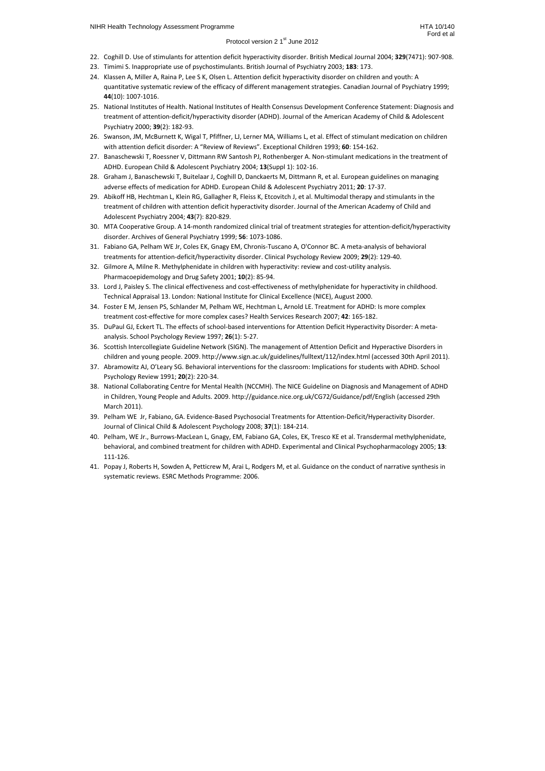- 22. Coghill D. Use of stimulants for attention deficit hyperactivity disorder. British Medical Journal 2004; **329**(7471): 907-908.
- 23. Timimi S. Inappropriate use of psychostimulants. British Journal of Psychiatry 2003; **183**: 173.
- 24. Klassen A, Miller A, Raina P, Lee S K, Olsen L. Attention deficit hyperactivity disorder on children and youth: A quantitative systematic review of the efficacy of different management strategies. Canadian Journal of Psychiatry 1999; **44**(10): 1007-1016.
- 25. National Institutes of Health. National Institutes of Health Consensus Development Conference Statement: Diagnosis and treatment of attention-deficit/hyperactivity disorder (ADHD). Journal of the American Academy of Child & Adolescent Psychiatry 2000; **39**(2): 182-93.
- 26. Swanson, JM, McBurnett K, Wigal T, Pfiffner, LJ, Lerner MA, Williams L, et al. Effect of stimulant medication on children with attention deficit disorder: A "Review of Reviews". Exceptional Children 1993; **60**: 154-162.
- 27. Banaschewski T, Roessner V, Dittmann RW Santosh PJ, Rothenberger A. Non-stimulant medications in the treatment of ADHD. European Child & Adolescent Psychiatry 2004; **13**(Suppl 1): 102-16.
- 28. Graham J, Banaschewski T, Buitelaar J, Coghill D, Danckaerts M, Dittmann R, et al. European guidelines on managing adverse effects of medication for ADHD. European Child & Adolescent Psychiatry 2011; **20**: 17-37.
- 29. Abikoff HB, Hechtman L, Klein RG, Gallagher R, Fleiss K, Etcovitch J, et al. Multimodal therapy and stimulants in the treatment of children with attention deficit hyperactivity disorder. Journal of the American Academy of Child and Adolescent Psychiatry 2004; **43**(7): 820-829.
- 30. MTA Cooperative Group. A 14-month randomized clinical trial of treatment strategies for attention-deficit/hyperactivity disorder. Archives of General Psychiatry 1999; **56**: 1073-1086.
- 31. Fabiano GA, Pelham WE Jr, Coles EK, Gnagy EM, Chronis-Tuscano A, O'Connor BC. A meta-analysis of behavioral treatments for attention-deficit/hyperactivity disorder. Clinical Psychology Review 2009; **29**(2): 129-40.
- 32. Gilmore A, Milne R. Methylphenidate in children with hyperactivity: review and cost-utility analysis. Pharmacoepidemology and Drug Safety 2001; **10**(2): 85-94.
- 33. Lord J, Paisley S. The clinical effectiveness and cost-effectiveness of methylphenidate for hyperactivity in childhood. Technical Appraisal 13. London: National Institute for Clinical Excellence (NICE), August 2000.
- 34. Foster E M, Jensen PS, Schlander M, Pelham WE, Hechtman L, Arnold LE. Treatment for ADHD: Is more complex treatment cost-effective for more complex cases? Health Services Research 2007; **42**: 165-182.
- 35. DuPaul GJ, Eckert TL. The effects of school-based interventions for Attention Deficit Hyperactivity Disorder: A metaanalysis. School Psychology Review 1997; **26**(1): 5-27.
- 36. Scottish Intercollegiate Guideline Network (SIGN). The management of Attention Deficit and Hyperactive Disorders in children and young people. 2009. http://www.sign.ac.uk/guidelines/fulltext/112/index.html (accessed 30th April 2011).
- 37. Abramowitz AJ, O'Leary SG. Behavioral interventions for the classroom: Implications for students with ADHD. School Psychology Review 1991; **20**(2): 220-34.
- 38. National Collaborating Centre for Mental Health (NCCMH). The NICE Guideline on Diagnosis and Management of ADHD in Children, Young People and Adults. 2009. http://guidance.nice.org.uk/CG72/Guidance/pdf/English (accessed 29th March 2011).
- 39. Pelham WE Jr, Fabiano, GA. Evidence-Based Psychosocial Treatments for Attention-Deficit/Hyperactivity Disorder. Journal of Clinical Child & Adolescent Psychology 2008; **37**(1): 184-214.
- 40. Pelham, WE Jr., Burrows-MacLean L, Gnagy, EM, Fabiano GA, Coles, EK, Tresco KE et al. Transdermal methylphenidate, behavioral, and combined treatment for children with ADHD. Experimental and Clinical Psychopharmacology 2005; **13**: 111-126.
- 41. Popay J, Roberts H, Sowden A, Petticrew M, Arai L, Rodgers M, et al. Guidance on the conduct of narrative synthesis in systematic reviews. ESRC Methods Programme: 2006.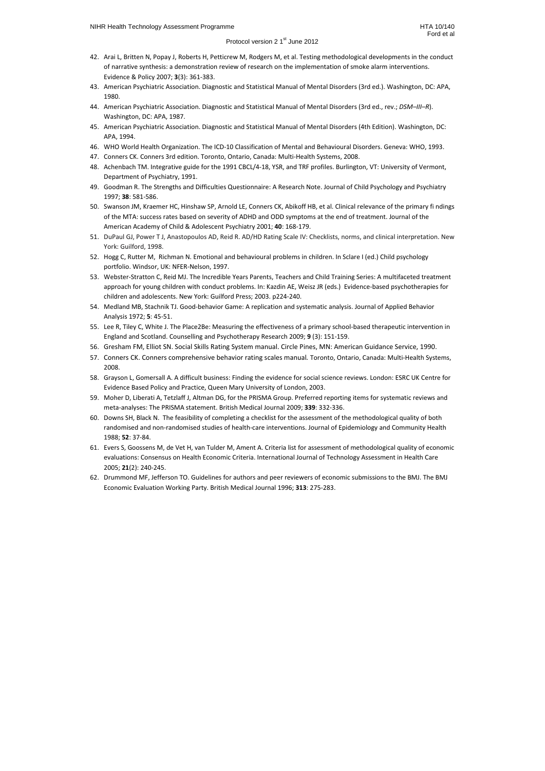- 42. Arai L, Britten N, Popay J, Roberts H, Petticrew M, Rodgers M, et al. Testing methodological developments in the conduct of narrative synthesis: a demonstration review of research on the implementation of smoke alarm interventions. Evidence & Policy 2007; **3**(3): 361-383.
- 43. American Psychiatric Association. Diagnostic and Statistical Manual of Mental Disorders (3rd ed.). Washington, DC: APA, 1980.
- 44. American Psychiatric Association. Diagnostic and Statistical Manual of Mental Disorders (3rd ed., rev.; *DSM–III–R*). Washington, DC: APA, 1987.
- 45. American Psychiatric Association. Diagnostic and Statistical Manual of Mental Disorders (4th Edition). Washington, DC: APA, 1994.
- 46. WHO World Health Organization. The ICD-10 Classification of Mental and Behavioural Disorders. Geneva: WHO, 1993.
- 47. Conners CK. Conners 3rd edition. Toronto, Ontario, Canada: Multi-Health Systems, 2008.
- 48. Achenbach TM. Integrative guide for the 1991 CBCL/4-18, YSR, and TRF profiles. Burlington, VT: University of Vermont, Department of Psychiatry, 1991.
- 49. Goodman R. The Strengths and Difficulties Questionnaire: A Research Note. Journal of Child Psychology and Psychiatry 1997; **38**: 581-586.
- 50. Swanson JM, Kraemer HC, Hinshaw SP, Arnold LE, Conners CK, Abikoff HB, et al. Clinical relevance of the primary fi ndings of the MTA: success rates based on severity of ADHD and ODD symptoms at the end of treatment. Journal of the American Academy of Child & Adolescent Psychiatry 2001; **40**: 168-179.
- 51. DuPaul GJ, Power T J, Anastopoulos AD, Reid R. AD/HD Rating Scale IV: Checklists, norms, and clinical interpretation. New York: Guilford, 1998.
- 52. Hogg C, Rutter M, Richman N. Emotional and behavioural problems in children. In Sclare I (ed.) Child psychology portfolio. Windsor, UK: NFER-Nelson, 1997.
- 53. Webster-Stratton C, Reid MJ. The Incredible Years Parents, Teachers and Child Training Series: A multifaceted treatment approach for young children with conduct problems. In: Kazdin AE, Weisz JR (eds.) Evidence-based psychotherapies for children and adolescents. New York: Guilford Press; 2003. p224-240.
- 54. Medland MB, Stachnik TJ. Good-behavior Game: A replication and systematic analysis. Journal of Applied Behavior Analysis 1972; **5**: 45-51.
- 55. Lee R, Tiley C, White J. The Place2Be: Measuring the effectiveness of a primary school-based therapeutic intervention in England and Scotland. Counselling and Psychotherapy Research 2009; **9** (3): 151-159.
- 56. Gresham FM, Elliot SN. Social Skills Rating System manual. Circle Pines, MN: American Guidance Service, 1990.
- 57. Conners CK. Conners comprehensive behavior rating scales manual*.* Toronto, Ontario, Canada: Multi-Health Systems, 2008.
- 58. Grayson L, Gomersall A. A difficult business: Finding the evidence for social science reviews. London: ESRC UK Centre for Evidence Based Policy and Practice, Queen Mary University of London, 2003.
- 59. Moher D, Liberati A, Tetzlaff J, Altman DG, for the PRISMA Group. Preferred reporting items for systematic reviews and meta-analyses: The PRISMA statement. British Medical Journal 2009; **339**: 332-336.
- 60. Downs SH, Black N. The feasibility of completing a checklist for the assessment of the methodological quality of both randomised and non-randomised studies of health-care interventions. Journal of Epidemiology and Community Health 1988; **52**: 37-84.
- 61. Evers S, Goossens M, de Vet H, van Tulder M, Ament A. Criteria list for assessment of methodological quality of economic evaluations: Consensus on Health Economic Criteria. International Journal of Technology Assessment in Health Care 2005; **21**(2): 240-245.
- 62. Drummond MF, Jefferson TO. Guidelines for authors and peer reviewers of economic submissions to the BMJ. The BMJ Economic Evaluation Working Party. British Medical Journal 1996; **313**: 275-283.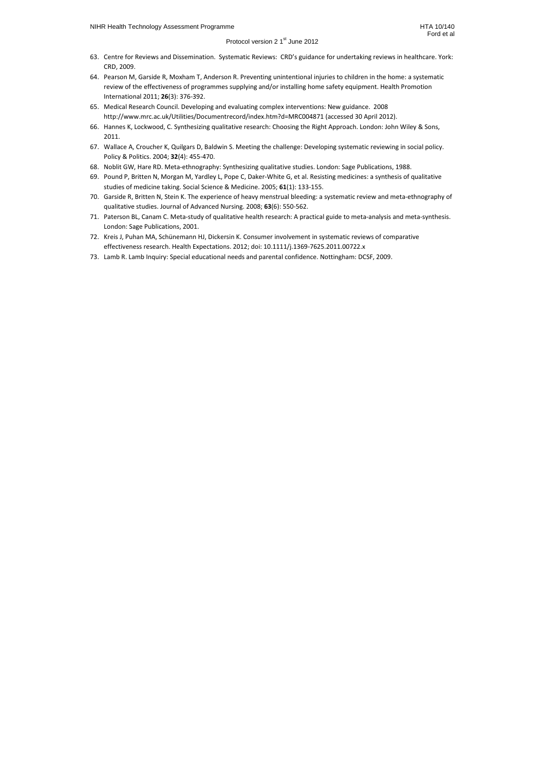- 63. Centre for Reviews and Dissemination. Systematic Reviews: CRD's guidance for undertaking reviews in healthcare. York: CRD, 2009.
- 64. Pearson M, Garside R, Moxham T, Anderson R. Preventing unintentional injuries to children in the home: a systematic review of the effectiveness of programmes supplying and/or installing home safety equipment. Health Promotion International 2011; **26**(3): 376-392.
- 65. Medical Research Council. Developing and evaluating complex interventions: New guidance. 2008 http://www.mrc.ac.uk/Utilities/Documentrecord/index.htm?d=MRC004871 (accessed 30 April 2012).
- 66. Hannes K, Lockwood, C. Synthesizing qualitative research: Choosing the Right Approach. London: John Wiley & Sons, 2011.
- 67. Wallace A, Croucher K, Quilgars D, Baldwin S. Meeting the challenge: Developing systematic reviewing in social policy. Policy & Politics. 2004; **32**(4): 455-470.
- 68. Noblit GW, Hare RD. Meta-ethnography: Synthesizing qualitative studies. London: Sage Publications, 1988.
- 69. Pound P, Britten N, Morgan M, Yardley L, Pope C, Daker-White G, et al. Resisting medicines: a synthesis of qualitative studies of medicine taking. Social Science & Medicine. 2005; **61**(1): 133-155.
- 70. Garside R, Britten N, Stein K. The experience of heavy menstrual bleeding: a systematic review and meta-ethnography of qualitative studies. Journal of Advanced Nursing. 2008; **63**(6): 550-562.
- 71. Paterson BL, Canam C. Meta-study of qualitative health research: A practical guide to meta-analysis and meta-synthesis. London: Sage Publications, 2001.
- 72. Kreis J, Puhan MA, Schünemann HJ, Dickersin K. Consumer involvement in systematic reviews of comparative effectiveness research. Health Expectations. 2012; doi: 10.1111/j.1369-7625.2011.00722.x
- 73. Lamb R. Lamb Inquiry: Special educational needs and parental confidence. Nottingham: DCSF, 2009.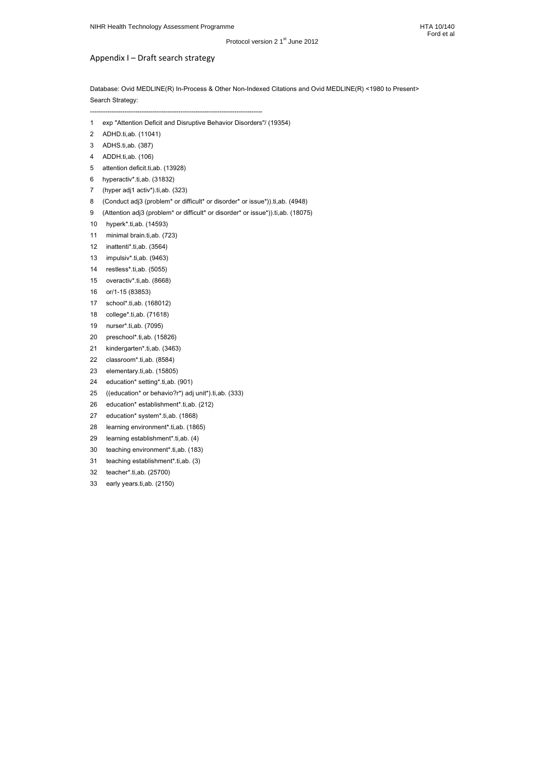# Appendix I – Draft search strategy

Database: Ovid MEDLINE(R) In-Process & Other Non-Indexed Citations and Ovid MEDLINE(R) <1980 to Present> Search Strategy:

--------------------------------------------------------------------------------

1 exp "Attention Deficit and Disruptive Behavior Disorders"/ (19354)

- 2 ADHD.ti,ab. (11041)
- 3 ADHS.ti,ab. (387)
- 4 ADDH.ti,ab. (106)
- 5 attention deficit.ti,ab. (13928)
- 6 hyperactiv\*.ti,ab. (31832)
- 7 (hyper adj1 activ\*).ti,ab. (323)
- 8 (Conduct adj3 (problem<sup>\*</sup> or difficult<sup>\*</sup> or disorder<sup>\*</sup> or issue<sup>\*</sup>)).ti,ab. (4948)
- 9 (Attention adj3 (problem<sup>\*</sup> or difficult<sup>\*</sup> or disorder<sup>\*</sup> or issue<sup>\*</sup>)).ti,ab. (18075)
- 10 hyperk\*.ti,ab. (14593)
- 11 minimal brain.ti,ab. (723)
- 12 inattenti\*.ti,ab. (3564)
- 13 impulsiv\*.ti,ab. (9463)
- 14 restless\*.ti,ab. (5055)
- 15 overactiv\*.ti,ab. (8668)
- 16 or/1-15 (83853)
- 17 school\*.ti,ab. (168012)
- 18 college\*.ti,ab. (71618)
- 19 nurser\*.ti,ab. (7095)
- 20 preschool\*.ti,ab. (15826)
- 21 kindergarten\*.ti,ab. (3463)
- 22 classroom\*.ti,ab. (8584)
- 23 elementary.ti,ab. (15805)
- 24 education\* setting\*.ti,ab. (901)
- 25 ((education\* or behavio?r\*) adj unit\*).ti,ab. (333)
- 26 education\* establishment\*.ti,ab. (212)
- 27 education\* system\*.ti,ab. (1868)
- 28 learning environment\*.ti,ab. (1865)
- 29 learning establishment\*.ti,ab. (4)
- 30 teaching environment\*.ti,ab. (183)
- 31 teaching establishment\*.ti,ab. (3)
- 32 teacher\*.ti,ab. (25700)
- 33 early years.ti,ab. (2150)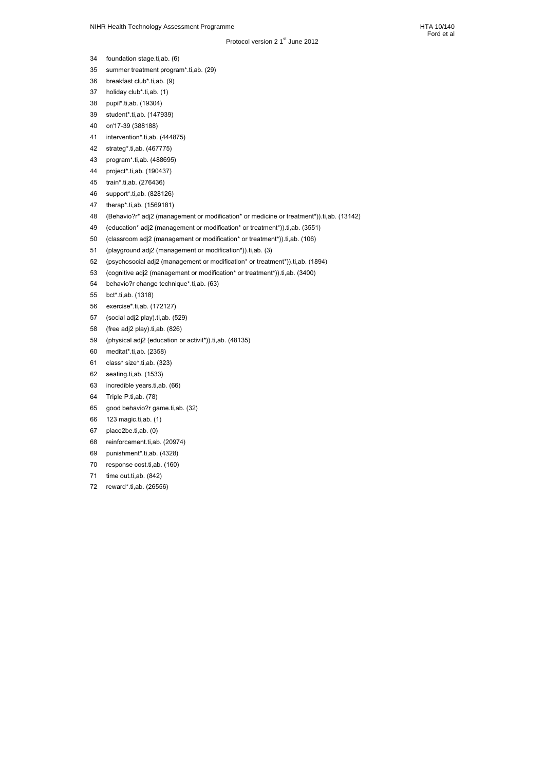- 34 foundation stage.ti,ab. (6)
- 35 summer treatment program\*.ti,ab. (29)
- 36 breakfast club\*.ti,ab. (9)
- 37 holiday club\*.ti,ab. (1)
- 38 pupil\*.ti,ab. (19304)
- 39 student\*.ti,ab. (147939)
- 40 or/17-39 (388188)
- 41 intervention\*.ti,ab. (444875)
- 42 strateg\*.ti,ab. (467775)
- 43 program\*.ti,ab. (488695)
- 44 project\*.ti,ab. (190437)
- 45 train\*.ti,ab. (276436)
- 46 support\*.ti,ab. (828126)
- 47 therap\*.ti,ab. (1569181)
- 48 (Behavio?r\* adj2 (management or modification\* or medicine or treatment\*)).ti,ab. (13142)
- 49 (education\* adj2 (management or modification\* or treatment\*)).ti,ab. (3551)
- 50 (classroom adj2 (management or modification\* or treatment\*)).ti,ab. (106)
- 51 (playground adj2 (management or modification\*)).ti,ab. (3)
- 52 (psychosocial adj2 (management or modification\* or treatment\*)).ti,ab. (1894)
- 53 (cognitive adj2 (management or modification\* or treatment\*)).ti,ab. (3400)
- 54 behavio?r change technique\*.ti,ab. (63)
- 55 bct\*.ti,ab. (1318)
- 56 exercise\*.ti,ab. (172127)
- 57 (social adj2 play).ti,ab. (529)
- 58 (free adj2 play).ti,ab. (826)
- 59 (physical adj2 (education or activit\*)).ti,ab. (48135)
- 60 meditat\*.ti,ab. (2358)
- 61 class\* size\*.ti,ab. (323)
- 62 seating.ti,ab. (1533)
- 63 incredible years.ti,ab. (66)
- 64 Triple P.ti,ab. (78)
- 65 good behavio?r game.ti,ab. (32)
- 66 123 magic.ti,ab. (1)
- 67 place2be.ti,ab. (0)
- 68 reinforcement.ti,ab. (20974)
- 69 punishment\*.ti,ab. (4328)
- 70 response cost.ti, ab. (160)
- 71 time out.ti, ab. (842)
- 72 reward\*.ti,ab. (26556)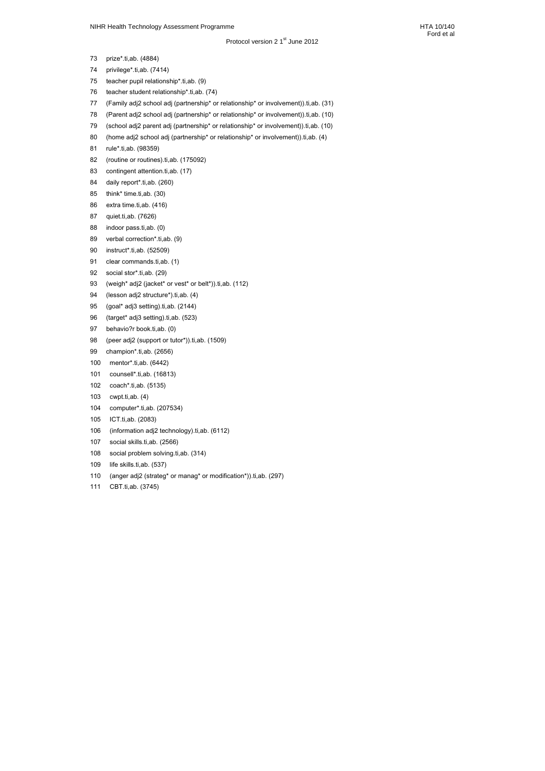Ford et al

- 73 prize\*.ti,ab. (4884)
- 74 privilege\*.ti,ab. (7414)
- 75 teacher pupil relationship\*.ti,ab. (9)
- 76 teacher student relationship\*.ti,ab. (74)
- 77 (Family adj2 school adj (partnership\* or relationship\* or involvement)).ti,ab. (31)
- 78 (Parent adj2 school adj (partnership\* or relationship\* or involvement)).ti,ab. (10)
- 79 (school adj2 parent adj (partnership\* or relationship\* or involvement)).ti,ab. (10)
- 80 (home adj2 school adj (partnership\* or relationship\* or involvement)).ti,ab. (4)
- 81 rule\*.ti,ab. (98359)
- 82 (routine or routines).ti,ab. (175092)
- 83 contingent attention.ti,ab. (17)
- 84 daily report\*.ti,ab. (260)
- 85 think\* time.ti,ab. (30)
- 86 extra time.ti,ab. (416)
- 87 quiet.ti,ab. (7626)
- 88 indoor pass.ti,ab. (0)
- 89 verbal correction\*.ti,ab. (9)
- 90 instruct\*.ti,ab. (52509)
- 91 clear commands.ti,ab. (1)
- 92 social stor\*.ti,ab. (29)
- 93 (weigh\* adj2 (jacket\* or vest\* or belt\*)).ti,ab. (112)
- 94 (lesson adj2 structure\*).ti,ab. (4)
- 95 (goal\* adj3 setting).ti,ab. (2144)
- 96 (target\* adj3 setting).ti,ab. (523)
- 97 behavio?r book.ti,ab. (0)
- 98 (peer adj2 (support or tutor\*)).ti,ab. (1509)
- 99 champion\*.ti,ab. (2656)
- 100 mentor\*.ti,ab. (6442)
- 101 counsell\*.ti,ab. (16813)
- 102 coach\*.ti,ab. (5135)
- 103 cwpt.ti,ab. (4)
- 104 computer\*.ti,ab. (207534)
- 105 ICT.ti,ab. (2083)
- 106 (information adj2 technology).ti,ab. (6112)
- 107 social skills.ti,ab. (2566)
- 108 social problem solving.ti,ab. (314)
- 109 life skills.ti,ab. (537)
- 110 (anger adj2 (strateg\* or manag\* or modification\*)).ti,ab. (297)
- 111 CBT.ti,ab. (3745)